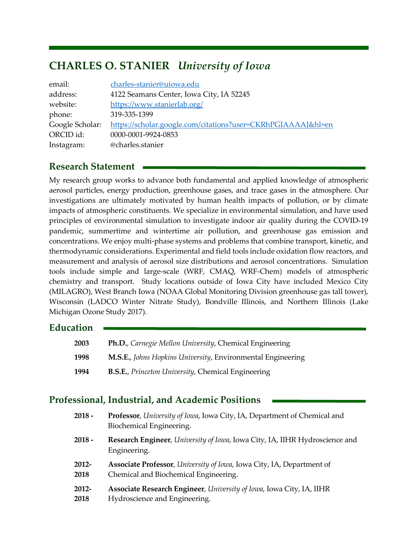# CHARLES O. STANIER University of Iowa

| email:          | charles-stanier@uiowa.edu                                    |
|-----------------|--------------------------------------------------------------|
| address:        | 4122 Seamans Center, Iowa City, IA 52245                     |
| website:        | https://www.stanierlab.org/                                  |
| phone:          | 319-335-1399                                                 |
| Google Scholar: | https://scholar.google.com/citations?user=CKRhPGIAAAAJ&hl=en |
| ORCID id:       | 0000-0001-9924-0853                                          |
| Instagram:      | @charles.stanier                                             |

# Research Statement

My research group works to advance both fundamental and applied knowledge of atmospheric aerosol particles, energy production, greenhouse gases, and trace gases in the atmosphere. Our investigations are ultimately motivated by human health impacts of pollution, or by climate impacts of atmospheric constituents. We specialize in environmental simulation, and have used principles of environmental simulation to investigate indoor air quality during the COVID-19 pandemic, summertime and wintertime air pollution, and greenhouse gas emission and concentrations. We enjoy multi-phase systems and problems that combine transport, kinetic, and thermodynamic considerations. Experimental and field tools include oxidation flow reactors, and measurement and analysis of aerosol size distributions and aerosol concentrations. Simulation tools include simple and large-scale (WRF, CMAQ, WRF-Chem) models of atmospheric chemistry and transport. Study locations outside of Iowa City have included Mexico City (MILAGRO), West Branch Iowa (NOAA Global Monitoring Division greenhouse gas tall tower), Wisconsin (LADCO Winter Nitrate Study), Bondville Illinois, and Northern Illinois (Lake Michigan Ozone Study 2017).

# **Education**

| <b>2003</b> | <b>Ph.D.</b> , Carnegie Mellon University, Chemical Engineering     |
|-------------|---------------------------------------------------------------------|
| 1998        | <b>M.S.E.</b> , Johns Hopkins University, Environmental Engineering |
| 1994        | <b>B.S.E.</b> , Princeton University, Chemical Engineering          |

# Professional, Industrial, and Academic Positions

| $2018 -$ | Professor, University of Iowa, Iowa City, IA, Department of Chemical and<br>Biochemical Engineering. |
|----------|------------------------------------------------------------------------------------------------------|
| 2018 -   | Research Engineer, University of Iowa, Iowa City, IA, IIHR Hydroscience and<br>Engineering.          |
| 2012-    | Associate Professor, University of Iowa, Iowa City, IA, Department of                                |
| 2018     | Chemical and Biochemical Engineering.                                                                |
| 2012-    | Associate Research Engineer, University of Iowa, Iowa City, IA, IIHR                                 |
| 2018     | Hydroscience and Engineering.                                                                        |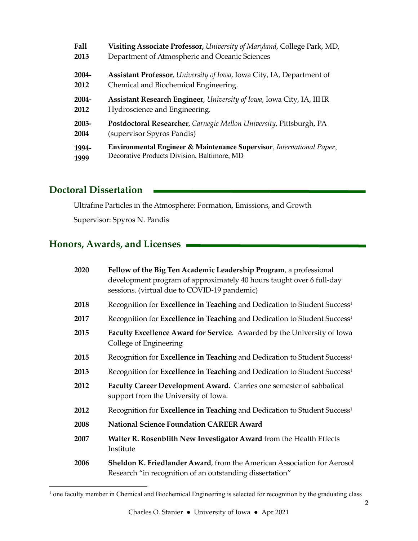| <b>Fall</b> | Visiting Associate Professor, University of Maryland, College Park, MD,          |
|-------------|----------------------------------------------------------------------------------|
| 2013        | Department of Atmospheric and Oceanic Sciences                                   |
| 2004-       | Assistant Professor, University of Iowa, Iowa City, IA, Department of            |
| 2012        | Chemical and Biochemical Engineering.                                            |
| 2004-       | Assistant Research Engineer, University of Iowa, Iowa City, IA, IIHR             |
| 2012        | Hydroscience and Engineering.                                                    |
| 2003-       | Postdoctoral Researcher, Carnegie Mellon University, Pittsburgh, PA              |
| 2004        | (supervisor Spyros Pandis)                                                       |
| 1994-       | <b>Environmental Engineer &amp; Maintenance Supervisor, International Paper,</b> |
| 1999        | Decorative Products Division, Baltimore, MD                                      |

# Doctoral Dissertation

Ultrafine Particles in the Atmosphere: Formation, Emissions, and Growth

Supervisor: Spyros N. Pandis

# Honors, Awards, and Licenses

| 2020 | Fellow of the Big Ten Academic Leadership Program, a professional<br>development program of approximately 40 hours taught over 6 full-day<br>sessions. (virtual due to COVID-19 pandemic) |
|------|-------------------------------------------------------------------------------------------------------------------------------------------------------------------------------------------|
| 2018 | Recognition for Excellence in Teaching and Dedication to Student Success <sup>1</sup>                                                                                                     |
| 2017 | Recognition for Excellence in Teaching and Dedication to Student Success <sup>1</sup>                                                                                                     |
| 2015 | Faculty Excellence Award for Service. Awarded by the University of Iowa<br>College of Engineering                                                                                         |
| 2015 | Recognition for Excellence in Teaching and Dedication to Student Success <sup>1</sup>                                                                                                     |
| 2013 | Recognition for <b>Excellence in Teaching</b> and Dedication to Student Success <sup>1</sup>                                                                                              |
| 2012 | Faculty Career Development Award. Carries one semester of sabbatical<br>support from the University of Iowa.                                                                              |
| 2012 | Recognition for Excellence in Teaching and Dedication to Student Success <sup>1</sup>                                                                                                     |
| 2008 | <b>National Science Foundation CAREER Award</b>                                                                                                                                           |
| 2007 | Walter R. Rosenblith New Investigator Award from the Health Effects<br>Institute                                                                                                          |
| 2006 | <b>Sheldon K. Friedlander Award, from the American Association for Aerosol</b><br>Research "in recognition of an outstanding dissertation"                                                |

<sup>&</sup>lt;sup>1</sup> one faculty member in Chemical and Biochemical Engineering is selected for recognition by the graduating class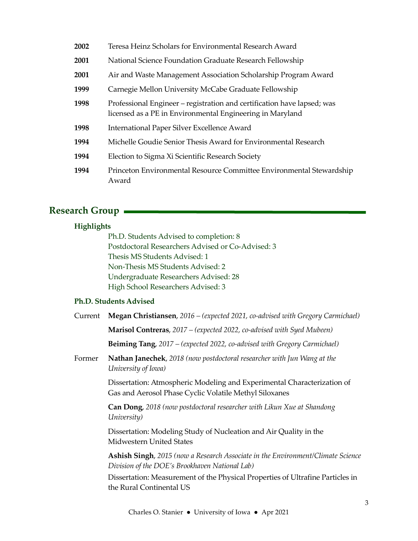| 2002 | Teresa Heinz Scholars for Environmental Research Award                                                                               |
|------|--------------------------------------------------------------------------------------------------------------------------------------|
| 2001 | National Science Foundation Graduate Research Fellowship                                                                             |
| 2001 | Air and Waste Management Association Scholarship Program Award                                                                       |
| 1999 | Carnegie Mellon University McCabe Graduate Fellowship                                                                                |
| 1998 | Professional Engineer – registration and certification have lapsed; was<br>licensed as a PE in Environmental Engineering in Maryland |
| 1998 | International Paper Silver Excellence Award                                                                                          |
| 1994 | Michelle Goudie Senior Thesis Award for Environmental Research                                                                       |
| 1994 | Election to Sigma Xi Scientific Research Society                                                                                     |
| 1994 | Princeton Environmental Resource Committee Environmental Stewardship<br>Award                                                        |

# Research Group

## Highlights

Ph.D. Students Advised to completion: 8 Postdoctoral Researchers Advised or Co-Advised: 3 Thesis MS Students Advised: 1 Non-Thesis MS Students Advised: 2 Undergraduate Researchers Advised: 28 High School Researchers Advised: 3

## Ph.D. Students Advised

| Current | Megan Christiansen, 2016 – (expected 2021, co-advised with Gregory Carmichael)                                                            |
|---------|-------------------------------------------------------------------------------------------------------------------------------------------|
|         | <b>Marisol Contreras,</b> 2017 – (expected 2022, co-advised with Syed Mubeen)                                                             |
|         | <b>Beiming Tang</b> , 2017 – (expected 2022, co-advised with Gregory Carmichael)                                                          |
| Former  | Nathan Janechek, 2018 (now postdoctoral researcher with Jun Wang at the<br>University of Iowa)                                            |
|         | Dissertation: Atmospheric Modeling and Experimental Characterization of<br>Gas and Aerosol Phase Cyclic Volatile Methyl Siloxanes         |
|         | Can Dong, 2018 (now postdoctoral researcher with Likun Xue at Shandong<br>University)                                                     |
|         | Dissertation: Modeling Study of Nucleation and Air Quality in the<br><b>Midwestern United States</b>                                      |
|         | <b>Ashish Singh</b> , 2015 (now a Research Associate in the Environment/Climate Science<br>Division of the DOE's Brookhaven National Lab) |
|         | Dissertation: Measurement of the Physical Properties of Ultrafine Particles in<br>the Rural Continental US                                |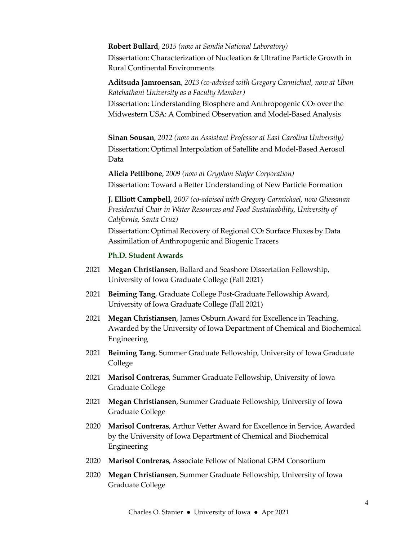#### Robert Bullard, 2015 (now at Sandia National Laboratory)

Dissertation: Characterization of Nucleation & Ultrafine Particle Growth in Rural Continental Environments

Aditsuda Jamroensan, 2013 (co-advised with Gregory Carmichael, now at Ubon Ratchathani University as a Faculty Member)

Dissertation: Understanding Biosphere and Anthropogenic CO<sub>2</sub> over the Midwestern USA: A Combined Observation and Model-Based Analysis

Sinan Sousan, 2012 (now an Assistant Professor at East Carolina University) Dissertation: Optimal Interpolation of Satellite and Model-Based Aerosol Data

 Alicia Pettibone, 2009 (now at Gryphon Shafer Corporation) Dissertation: Toward a Better Understanding of New Particle Formation

 J. Elliott Campbell, 2007 (co-advised with Gregory Carmichael, now Gliessman Presidential Chair in Water Resources and Food Sustainability, University of California, Santa Cruz)

Dissertation: Optimal Recovery of Regional CO<sub>2</sub> Surface Fluxes by Data Assimilation of Anthropogenic and Biogenic Tracers

#### Ph.D. Student Awards

- 2021 Megan Christiansen, Ballard and Seashore Dissertation Fellowship, University of Iowa Graduate College (Fall 2021)
- 2021 Beiming Tang, Graduate College Post-Graduate Fellowship Award, University of Iowa Graduate College (Fall 2021)
- 2021 Megan Christiansen, James Osburn Award for Excellence in Teaching, Awarded by the University of Iowa Department of Chemical and Biochemical Engineering
- 2021 Beiming Tang, Summer Graduate Fellowship, University of Iowa Graduate College
- 2021 Marisol Contreras, Summer Graduate Fellowship, University of Iowa Graduate College
- 2021 Megan Christiansen, Summer Graduate Fellowship, University of Iowa Graduate College
- 2020 Marisol Contreras, Arthur Vetter Award for Excellence in Service, Awarded by the University of Iowa Department of Chemical and Biochemical Engineering
- 2020 Marisol Contreras, Associate Fellow of National GEM Consortium
- 2020 Megan Christiansen, Summer Graduate Fellowship, University of Iowa Graduate College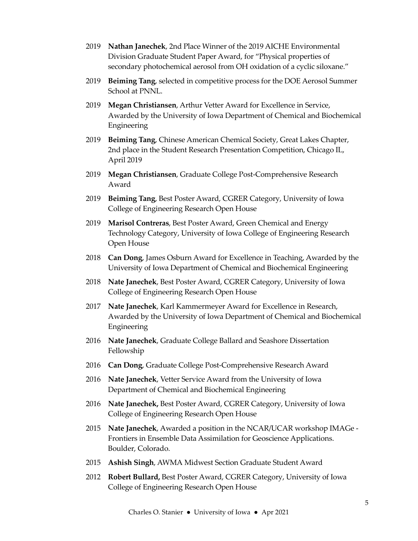- 2019 Nathan Janechek, 2nd Place Winner of the 2019 AICHE Environmental Division Graduate Student Paper Award, for "Physical properties of secondary photochemical aerosol from OH oxidation of a cyclic siloxane."
- 2019 Beiming Tang, selected in competitive process for the DOE Aerosol Summer School at PNNL.
- 2019 Megan Christiansen, Arthur Vetter Award for Excellence in Service, Awarded by the University of Iowa Department of Chemical and Biochemical Engineering
- 2019 Beiming Tang, Chinese American Chemical Society, Great Lakes Chapter, 2nd place in the Student Research Presentation Competition, Chicago IL, April 2019
- 2019 Megan Christiansen, Graduate College Post-Comprehensive Research Award
- 2019 Beiming Tang, Best Poster Award, CGRER Category, University of Iowa College of Engineering Research Open House
- 2019 Marisol Contreras, Best Poster Award, Green Chemical and Energy Technology Category, University of Iowa College of Engineering Research Open House
- 2018 Can Dong, James Osburn Award for Excellence in Teaching, Awarded by the University of Iowa Department of Chemical and Biochemical Engineering
- 2018 Nate Janechek, Best Poster Award, CGRER Category, University of Iowa College of Engineering Research Open House
- 2017 Nate Janechek, Karl Kammermeyer Award for Excellence in Research, Awarded by the University of Iowa Department of Chemical and Biochemical Engineering
- 2016 Nate Janechek, Graduate College Ballard and Seashore Dissertation Fellowship
- 2016 Can Dong, Graduate College Post-Comprehensive Research Award
- 2016 Nate Janechek, Vetter Service Award from the University of Iowa Department of Chemical and Biochemical Engineering
- 2016 Nate Janechek, Best Poster Award, CGRER Category, University of Iowa College of Engineering Research Open House
- 2015 Nate Janechek, Awarded a position in the NCAR/UCAR workshop IMAGe Frontiers in Ensemble Data Assimilation for Geoscience Applications. Boulder, Colorado.
- 2015 Ashish Singh, AWMA Midwest Section Graduate Student Award
- 2012 Robert Bullard, Best Poster Award, CGRER Category, University of Iowa College of Engineering Research Open House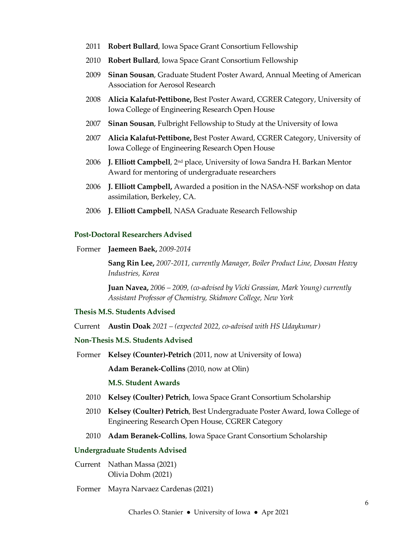- 2011 Robert Bullard, Iowa Space Grant Consortium Fellowship
- 2010 Robert Bullard, Iowa Space Grant Consortium Fellowship
- 2009 Sinan Sousan, Graduate Student Poster Award, Annual Meeting of American Association for Aerosol Research
- 2008 Alicia Kalafut-Pettibone, Best Poster Award, CGRER Category, University of Iowa College of Engineering Research Open House
- 2007 Sinan Sousan, Fulbright Fellowship to Study at the University of Iowa
- 2007 Alicia Kalafut-Pettibone, Best Poster Award, CGRER Category, University of Iowa College of Engineering Research Open House
- 2006 **J. Elliott Campbell**,  $2^{nd}$  place, University of Iowa Sandra H. Barkan Mentor Award for mentoring of undergraduate researchers
- 2006 J. Elliott Campbell, Awarded a position in the NASA-NSF workshop on data assimilation, Berkeley, CA.
- 2006 J. Elliott Campbell, NASA Graduate Research Fellowship

#### Post-Doctoral Researchers Advised

Former Jaemeen Baek, 2009-2014

Sang Rin Lee, 2007-2011, currently Manager, Boiler Product Line, Doosan Heavy Industries, Korea

Juan Navea, 2006 – 2009, (co-advised by Vicki Grassian, Mark Young) currently Assistant Professor of Chemistry, Skidmore College, New York

#### Thesis M.S. Students Advised

Current Austin Doak 2021 – (expected 2022, co-advised with HS Udaykumar)

#### Non-Thesis M.S. Students Advised

Former Kelsey (Counter)-Petrich (2011, now at University of Iowa)

Adam Beranek-Collins (2010, now at Olin)

## M.S. Student Awards

- 2010 Kelsey (Coulter) Petrich, Iowa Space Grant Consortium Scholarship
- 2010 Kelsey (Coulter) Petrich, Best Undergraduate Poster Award, Iowa College of Engineering Research Open House, CGRER Category
- 2010 Adam Beranek-Collins, Iowa Space Grant Consortium Scholarship

#### Undergraduate Students Advised

- Current Nathan Massa (2021) Olivia Dohm (2021)
- Former Mayra Narvaez Cardenas (2021)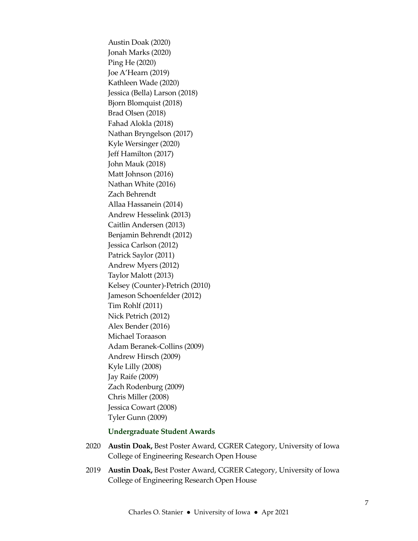Austin Doak (2020) Jonah Marks (2020) Ping He (2020) Joe A'Hearn (2019) Kathleen Wade (2020) Jessica (Bella) Larson (2018) Bjorn Blomquist (2018) Brad Olsen (2018) Fahad Alokla (2018) Nathan Bryngelson (2017) Kyle Wersinger (2020) Jeff Hamilton (2017) John Mauk (2018) Matt Johnson (2016) Nathan White (2016) Zach Behrendt Allaa Hassanein (2014) Andrew Hesselink (2013) Caitlin Andersen (2013) Benjamin Behrendt (2012) Jessica Carlson (2012) Patrick Saylor (2011) Andrew Myers (2012) Taylor Malott (2013) Kelsey (Counter)-Petrich (2010) Jameson Schoenfelder (2012) Tim Rohlf (2011) Nick Petrich (2012) Alex Bender (2016) Michael Toraason Adam Beranek-Collins (2009) Andrew Hirsch (2009) Kyle Lilly (2008) Jay Raife (2009) Zach Rodenburg (2009) Chris Miller (2008) Jessica Cowart (2008) Tyler Gunn (2009)

## Undergraduate Student Awards

- 2020 Austin Doak, Best Poster Award, CGRER Category, University of Iowa College of Engineering Research Open House
- 2019 Austin Doak, Best Poster Award, CGRER Category, University of Iowa College of Engineering Research Open House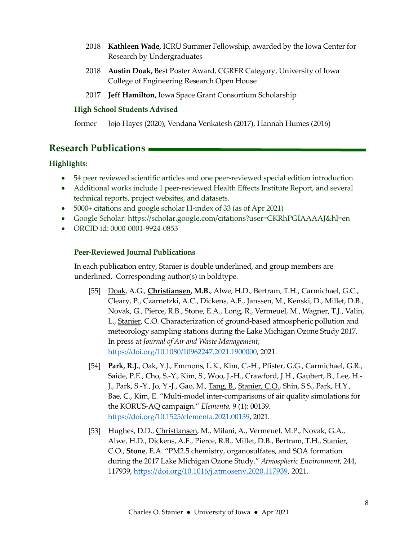- 2018 Kathleen Wade, ICRU Summer Fellowship, awarded by the Iowa Center for Research by Undergraduates
- 2018 Austin Doak, Best Poster Award, CGRER Category, University of Iowa College of Engineering Research Open House
- 2017 Jeff Hamilton, Iowa Space Grant Consortium Scholarship

## High School Students Advised

former Jojo Hayes (2020), Vendana Venkatesh (2017), Hannah Humes (2016)

# Research Publications

## Highlights:

- 54 peer reviewed scientific articles and one peer-reviewed special edition introduction.
- Additional works include 1 peer-reviewed Health Effects Institute Report, and several technical reports, project websites, and datasets.
- 5000+ citations and google scholar H-index of 33 (as of Apr 2021)
- Google Scholar: https://scholar.google.com/citations?user=CKRhPGIAAAAJ&hl=en
- ORCID id: 0000-0001-9924-0853

## Peer-Reviewed Journal Publications

In each publication entry, Stanier is double underlined, and group members are underlined. Corresponding author(s) in boldtype.

- [55] Doak, A.G., Christiansen, M.B., Alwe, H.D., Bertram, T.H., Carmichael, G.C., Cleary, P., Czarnetzki, A.C., Dickens, A.F., Janssen, M., Kenski, D., Millet, D.B., Novak, G., Pierce, R.B., Stone, E.A., Long, R., Vermeuel, M., Wagner, T.J., Valin, L., Stanier, C.O. Characterization of ground-based atmospheric pollution and meteorology sampling stations during the Lake Michigan Ozone Study 2017. In press at Journal of Air and Waste Management, https://doi.org/10.1080/10962247.2021.1900000, 2021.
- [54] Park, R.J., Oak, Y.J., Emmons, L.K., Kim, C.-H., Pfister, G.G., Carmichael, G.R., Saide, P.E., Cho, S.-Y., Kim, S., Woo, J.-H., Crawford, J.H., Gaubert, B., Lee, H.- J., Park, S.-Y., Jo, Y.-J., Gao, M., Tang, B., Stanier, C.O., Shin, S.S., Park, H.Y., Bae, C., Kim, E. "Multi-model inter-comparisons of air quality simulations for the KORUS-AQ campaign." Elementa, 9 (1): 00139. https://doi.org/10.1525/elementa.2021.00139, 2021.
- [53] Hughes, D.D., Christiansen, M., Milani, A., Vermeuel, M.P., Novak, G.A., Alwe, H.D., Dickens, A.F., Pierce, R.B., Millet, D.B., Bertram, T.H., Stanier, C.O., Stone, E.A. "PM2.5 chemistry, organosulfates, and SOA formation during the 2017 Lake Michigan Ozone Study." Atmospheric Environment, 244, 117939, https://doi.org/10.1016/j.atmosenv.2020.117939, 2021.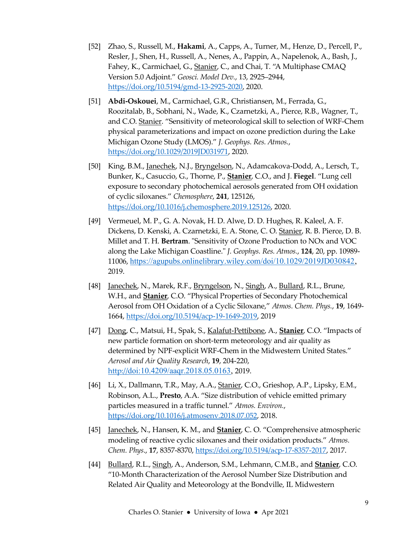- [52] Zhao, S., Russell, M., Hakami, A., Capps, A., Turner, M., Henze, D., Percell, P., Resler, J., Shen, H., Russell, A., Nenes, A., Pappin, A., Napelenok, A., Bash, J., Fahey, K., Carmichael, G., Stanier, C., and Chai, T. "A Multiphase CMAQ Version 5.0 Adjoint." Geosci. Model Dev., 13, 2925–2944, https://doi.org/10.5194/gmd-13-2925-2020, 2020.
- [51] Abdi-Oskouei, M., Carmichael, G.R., Christiansen, M., Ferrada, G., Roozitalab, B., Sobhani, N., Wade, K., Czarnetzki, A., Pierce, R.B., Wagner, T., and C.O. Stanier. "Sensitivity of meteorological skill to selection of WRF-Chem physical parameterizations and impact on ozone prediction during the Lake Michigan Ozone Study (LMOS)." J. Geophys. Res. Atmos., https://doi.org/10.1029/2019JD031971, 2020.
- [50] King, B.M., Janechek, N.J., Bryngelson, N., Adamcakova-Dodd, A., Lersch, T., Bunker, K., Casuccio, G., Thorne, P., Stanier, C.O., and J. Fiegel. "Lung cell exposure to secondary photochemical aerosols generated from OH oxidation of cyclic siloxanes." Chemosphere, 241, 125126, https://doi.org/10.1016/j.chemosphere.2019.125126, 2020.
- [49] Vermeuel, M. P., G. A. Novak, H. D. Alwe, D. D. Hughes, R. Kaleel, A. F. Dickens, D. Kenski, A. Czarnetzki, E. A. Stone, C. O. Stanier, R. B. Pierce, D. B. Millet and T. H. Bertram. "Sensitivity of Ozone Production to NOx and VOC along the Lake Michigan Coastline." J. Geophys. Res. Atmos., 124, 20, pp. 10989- 11006, https://agupubs.onlinelibrary.wiley.com/doi/10.1029/2019JD030842, 2019.
- [48] Janechek, N., Marek, R.F., Bryngelson, N., Singh, A., Bullard, R.L., Brune, W.H., and **Stanier**, C.O. "Physical Properties of Secondary Photochemical Aerosol from OH Oxidation of a Cyclic Siloxane," Atmos. Chem. Phys., 19, 1649- 1664, https://doi.org/10.5194/acp-19-1649-2019, 2019
- [47] Dong, C., Matsui, H., Spak, S., Kalafut-Pettibone, A., Stanier, C.O. "Impacts of new particle formation on short-term meteorology and air quality as determined by NPF-explicit WRF-Chem in the Midwestern United States." Aerosol and Air Quality Research, 19, 204-220, http://doi:10.4209/aaqr.2018.05.0163, 2019.
- [46] Li, X., Dallmann, T.R., May, A.A., Stanier, C.O., Grieshop, A.P., Lipsky, E.M., Robinson, A.L., Presto, A.A. "Size distribution of vehicle emitted primary particles measured in a traffic tunnel." Atmos. Environ., https://doi.org/10.1016/j.atmosenv.2018.07.052, 2018.
- [45] Janechek, N., Hansen, K. M., and **Stanier**, C. O. "Comprehensive atmospheric modeling of reactive cyclic siloxanes and their oxidation products." Atmos. Chem. Phys., 17, 8357-8370, https://doi.org/10.5194/acp-17-8357-2017, 2017.
- [44] Bullard, R.L., Singh, A., Anderson, S.M., Lehmann, C.M.B., and Stanier, C.O. "10-Month Characterization of the Aerosol Number Size Distribution and Related Air Quality and Meteorology at the Bondville, IL Midwestern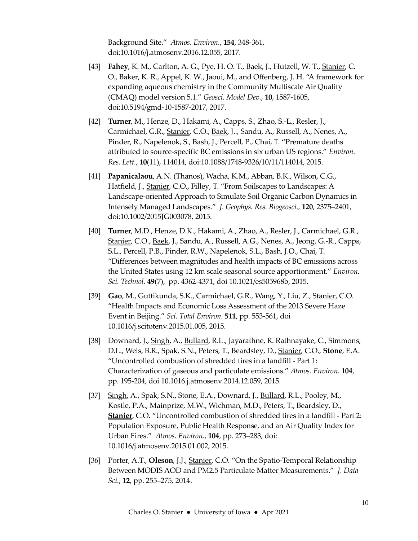Background Site." Atmos. Environ., 154, 348-361, doi:10.1016/j.atmosenv.2016.12.055, 2017.

- [43] Fahey, K. M., Carlton, A. G., Pye, H. O. T., Baek, J., Hutzell, W. T., Stanier, C. O., Baker, K. R., Appel, K. W., Jaoui, M., and Offenberg, J. H. "A framework for expanding aqueous chemistry in the Community Multiscale Air Quality (CMAQ) model version 5.1." Geosci. Model Dev., 10, 1587-1605, doi:10.5194/gmd-10-1587-2017, 2017.
- [42] **Turner**, M., Henze, D., Hakami, A., Capps, S., Zhao, S.-L., Resler, J., Carmichael, G.R., Stanier, C.O., Baek, J.., Sandu, A., Russell, A., Nenes, A., Pinder, R., Napelenok, S., Bash, J., Percell, P., Chai, T. "Premature deaths attributed to source-specific BC emissions in six urban US regions." Environ. Res. Lett., 10(11), 114014, doi:10.1088/1748-9326/10/11/114014, 2015.
- [41] Papanicalaou, A.N. (Thanos), Wacha, K.M., Abban, B.K., Wilson, C.G., Hatfield, J., Stanier, C.O., Filley, T. "From Soilscapes to Landscapes: A Landscape-oriented Approach to Simulate Soil Organic Carbon Dynamics in Intensely Managed Landscapes." J. Geophys. Res. Biogeosci., 120, 2375–2401, doi:10.1002/2015JG003078, 2015.
- [40] Turner, M.D., Henze, D.K., Hakami, A., Zhao, A., Resler, J., Carmichael, G.R., Stanier, C.O., Baek, J., Sandu, A., Russell, A.G., Nenes, A., Jeong, G.-R., Capps, S.L., Percell, P.B., Pinder, R.W., Napelenok, S.L., Bash, J.O., Chai, T. "Differences between magnitudes and health impacts of BC emissions across the United States using 12 km scale seasonal source apportionment." Environ. Sci. Technol. 49(7), pp. 4362-4371, doi 10.1021/es505968b, 2015.
- [39] Gao, M., Guttikunda, S.K., Carmichael, G.R., Wang, Y., Liu, Z., Stanier, C.O. "Health Impacts and Economic Loss Assessment of the 2013 Severe Haze Event in Beijing." Sci. Total Environ. 511, pp. 553-561, doi 10.1016/j.scitotenv.2015.01.005, 2015.
- [38] Downard, J., Singh, A., Bullard, R.L., Jayarathne, R. Rathnayake, C., Simmons, D.L., Wels, B.R., Spak, S.N., Peters, T., Beardsley, D., Stanier, C.O., Stone, E.A. "Uncontrolled combustion of shredded tires in a landfill - Part 1: Characterization of gaseous and particulate emissions." Atmos. Environ. 104, pp. 195-204, doi 10.1016.j.atmosenv.2014.12.059, 2015.
- [37] Singh, A., Spak, S.N., Stone, E.A., Downard, J., Bullard, R.L., Pooley, M., Kostle, P.A., Mainprize, M.W., Wichman, M.D., Peters, T., Beardsley, D., Stanier, C.O. "Uncontrolled combustion of shredded tires in a landfill - Part 2: Population Exposure, Public Health Response, and an Air Quality Index for Urban Fires." Atmos. Environ., 104, pp. 273–283, doi: 10.1016/j.atmosenv.2015.01.002, 2015.
- [36] Porter, A.T., Oleson, J.J., Stanier, C.O. "On the Spatio-Temporal Relationship Between MODIS AOD and PM2.5 Particulate Matter Measurements." J. Data Sci., 12, pp. 255–275, 2014.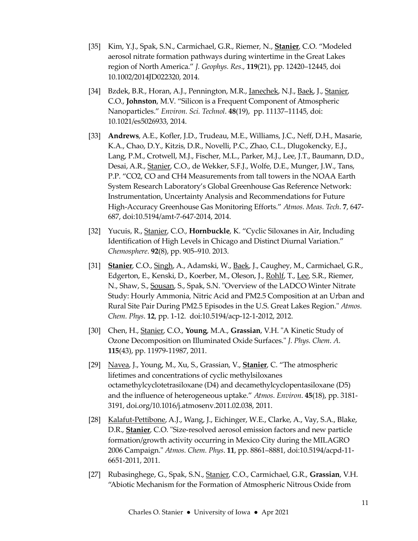- [35] Kim, Y.J., Spak, S.N., Carmichael, G.R., Riemer, N., *Stanier*, C.O. "Modeled aerosol nitrate formation pathways during wintertime in the Great Lakes region of North America." J. Geophys. Res., 119(21), pp. 12420–12445, doi 10.1002/2014JD022320, 2014.
- [34] Bzdek, B.R., Horan, A.J., Pennington, M.R., Janechek, N.J., Baek, J., Stanier, C.O., Johnston, M.V. "Silicon is a Frequent Component of Atmospheric Nanoparticles." Environ. Sci. Technol. 48(19), pp. 11137–11145, doi: 10.1021/es5026933, 2014.
- [33] Andrews, A.E., Kofler, J.D., Trudeau, M.E., Williams, J.C., Neff, D.H., Masarie, K.A., Chao, D.Y., Kitzis, D.R., Novelli, P.C., Zhao, C.L., Dlugokencky, E.J., Lang, P.M., Crotwell, M.J., Fischer, M.L., Parker, M.J., Lee, J.T., Baumann, D.D., Desai, A.R., Stanier, C.O., de Wekker, S.F.J., Wolfe, D.E., Munger, J.W., Tans, P.P. "CO2, CO and CH4 Measurements from tall towers in the NOAA Earth System Research Laboratory's Global Greenhouse Gas Reference Network: Instrumentation, Uncertainty Analysis and Recommendations for Future High-Accuracy Greenhouse Gas Monitoring Efforts." Atmos. Meas. Tech. 7, 647- 687, doi:10.5194/amt-7-647-2014, 2014.
- [32] Yucuis, R., Stanier, C.O., Hornbuckle, K. "Cyclic Siloxanes in Air, Including Identification of High Levels in Chicago and Distinct Diurnal Variation." Chemosphere. 92(8), pp. 905–910. 2013.
- [31] Stanier, C.O., Singh, A., Adamski, W., Baek, J., Caughey, M., Carmichael, G.R., Edgerton, E., Kenski, D., Koerber, M., Oleson, J., Rohlf, T., Lee, S.R., Riemer, N., Shaw, S., Sousan, S., Spak, S.N. "Overview of the LADCO Winter Nitrate Study: Hourly Ammonia, Nitric Acid and PM2.5 Composition at an Urban and Rural Site Pair During PM2.5 Episodes in the U.S. Great Lakes Region." Atmos. Chem. Phys. 12, pp. 1-12. doi:10.5194/acp-12-1-2012, 2012.
- [30] Chen, H., Stanier, C.O., Young, M.A., Grassian, V.H. "A Kinetic Study of Ozone Decomposition on Illuminated Oxide Surfaces." J. Phys. Chem. A. 115(43), pp. 11979-11987, 2011.
- [29] Navea, J., Young, M., Xu, S., Grassian, V., **Stanier**, C. "The atmospheric lifetimes and concentrations of cyclic methylsiloxanes octamethylcyclotetrasiloxane (D4) and decamethylcyclopentasiloxane (D5) and the influence of heterogeneous uptake." Atmos. Environ. 45(18), pp. 3181- 3191, doi.org/10.1016/j.atmosenv.2011.02.038, 2011.
- [28] Kalafut-Pettibone, A.J., Wang, J., Eichinger, W.E., Clarke, A., Vay, S.A., Blake, D.R., Stanier, C.O. "Size-resolved aerosol emission factors and new particle formation/growth activity occurring in Mexico City during the MILAGRO 2006 Campaign." Atmos. Chem. Phys. 11, pp. 8861–8881, doi:10.5194/acpd-11- 6651-2011, 2011.
- [27] Rubasinghege, G., Spak, S.N., Stanier, C.O., Carmichael, G.R., Grassian, V.H. "Abiotic Mechanism for the Formation of Atmospheric Nitrous Oxide from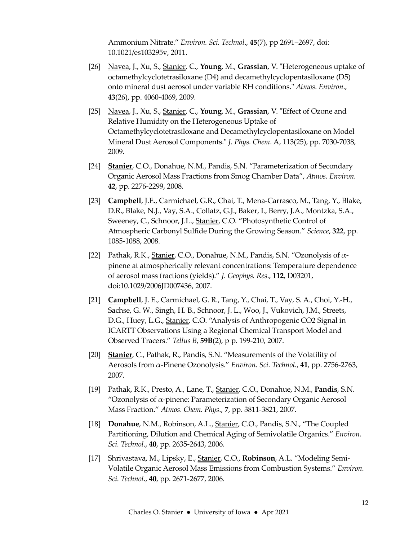Ammonium Nitrate." Environ. Sci. Technol., 45(7), pp 2691–2697, doi: 10.1021/es103295v, 2011.

- [26] Navea, J., Xu, S., Stanier, C., Young, M., Grassian, V. "Heterogeneous uptake of octamethylcyclotetrasiloxane (D4) and decamethylcyclopentasiloxane (D5) onto mineral dust aerosol under variable RH conditions." Atmos. Environ., 43(26), pp. 4060-4069, 2009.
- [25] Navea, J., Xu, S., Stanier, C., Young, M., Grassian, V. "Effect of Ozone and Relative Humidity on the Heterogeneous Uptake of Octamethylcyclotetrasiloxane and Decamethylcyclopentasiloxane on Model Mineral Dust Aerosol Components." J. Phys. Chem. A, 113(25), pp. 7030-7038, 2009.
- [24] Stanier, C.O., Donahue, N.M., Pandis, S.N. "Parameterization of Secondary Organic Aerosol Mass Fractions from Smog Chamber Data", Atmos. Environ. 42, pp. 2276-2299, 2008.
- [23] Campbell, J.E., Carmichael, G.R., Chai, T., Mena-Carrasco, M., Tang, Y., Blake, D.R., Blake, N.J., Vay, S.A., Collatz, G.J., Baker, I., Berry, J.A., Montzka, S.A., Sweeney, C., Schnoor, J.L., Stanier, C.O. "Photosynthetic Control of Atmospheric Carbonyl Sulfide During the Growing Season." Science, 322, pp. 1085-1088, 2008.
- [22] Pathak, R.K., Stanier, C.O., Donahue, N.M., Pandis, S.N. "Ozonolysis of  $\alpha$ pinene at atmospherically relevant concentrations: Temperature dependence of aerosol mass fractions (yields)." J. Geophys. Res., 112, D03201, doi:10.1029/2006JD007436, 2007.
- [21] Campbell, J. E., Carmichael, G. R., Tang, Y., Chai, T., Vay, S. A., Choi, Y.-H., Sachse, G. W., Singh, H. B., Schnoor, J. L., Woo, J., Vukovich, J.M., Streets, D.G., Huey, L.G., Stanier, C.O. "Analysis of Anthropogenic CO2 Signal in ICARTT Observations Using a Regional Chemical Transport Model and Observed Tracers." Tellus B, 59B(2), p p. 199-210, 2007.
- [20] Stanier, C., Pathak, R., Pandis, S.N. "Measurements of the Volatility of Aerosols from α-Pinene Ozonolysis." Environ. Sci. Technol., 41, pp. 2756-2763, 2007.
- [19] Pathak, R.K., Presto, A., Lane, T., Stanier, C.O., Donahue, N.M., Pandis, S.N. "Ozonolysis of  $\alpha$ -pinene: Parameterization of Secondary Organic Aerosol Mass Fraction." Atmos. Chem. Phys., 7, pp. 3811-3821, 2007.
- [18] Donahue, N.M., Robinson, A.L., Stanier, C.O., Pandis, S.N., "The Coupled Partitioning, Dilution and Chemical Aging of Semivolatile Organics." Environ. Sci. Technol., 40, pp. 2635-2643, 2006.
- [17] Shrivastava, M., Lipsky, E., Stanier, C.O., Robinson, A.L. "Modeling Semi-Volatile Organic Aerosol Mass Emissions from Combustion Systems." Environ. Sci. Technol., 40, pp. 2671-2677, 2006.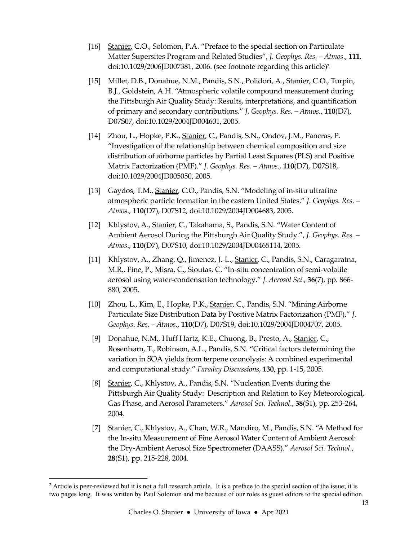- [16] Stanier, C.O., Solomon, P.A. "Preface to the special section on Particulate Matter Supersites Program and Related Studies", J. Geophys. Res. - Atmos., 111, doi:10.1029/2006JD007381, 2006. (see footnote regarding this article)<sup>2</sup>
- [15] Millet, D.B., Donahue, N.M., Pandis, S.N., Polidori, A., Stanier, C.O., Turpin, B.J., Goldstein, A.H. "Atmospheric volatile compound measurement during the Pittsburgh Air Quality Study: Results, interpretations, and quantification of primary and secondary contributions." J. Geophys. Res. – Atmos., 110(D7), D07S07, doi:10.1029/2004JD004601, 2005.
- [14] Zhou, L., Hopke, P.K., Stanier, C., Pandis, S.N., Ondov, J.M., Pancras, P. "Investigation of the relationship between chemical composition and size distribution of airborne particles by Partial Least Squares (PLS) and Positive Matrix Factorization (PMF)." J. Geophys. Res. - Atmos., 110(D7), D07S18, doi:10.1029/2004JD005050, 2005.
- [13] Gaydos, T.M., *Stanier*, C.O., Pandis, S.N. "Modeling of in-situ ultrafine atmospheric particle formation in the eastern United States." J. Geophys. Res. – Atmos., 110(D7), D07S12, doi:10.1029/2004JD004683, 2005.
- [12] Khlystov, A., Stanier, C., Takahama, S., Pandis, S.N. "Water Content of Ambient Aerosol During the Pittsburgh Air Quality Study.", J. Geophys. Res. – Atmos., 110(D7), D07S10, doi:10.1029/2004JD00465114, 2005.
- [11] Khlystov, A., Zhang, Q., Jimenez, J.-L., Stanier, C., Pandis, S.N., Caragaratna, M.R., Fine, P., Misra, C., Sioutas, C. "In-situ concentration of semi-volatile aerosol using water-condensation technology." J. Aerosol Sci., 36(7), pp. 866- 880, 2005.
- [10] Zhou, L., Kim, E., Hopke, P.K., Stanier, C., Pandis, S.N. "Mining Airborne Particulate Size Distribution Data by Positive Matrix Factorization (PMF)." J. Geophys. Res. – Atmos., 110(D7), D07S19, doi:10.1029/2004JD004707, 2005.
- [9] Donahue, N.M., Huff Hartz, K.E., Chuong, B., Presto, A., Stanier, C., Rosenhørn, T., Robinson, A.L., Pandis, S.N. "Critical factors determining the variation in SOA yields from terpene ozonolysis: A combined experimental and computational study." Faraday Discussions, 130, pp. 1-15, 2005.
- [8] Stanier, C., Khlystov, A., Pandis, S.N. "Nucleation Events during the Pittsburgh Air Quality Study: Description and Relation to Key Meteorological, Gas Phase, and Aerosol Parameters." Aerosol Sci. Technol., 38(S1), pp. 253-264, 2004.
- [7] Stanier, C., Khlystov, A., Chan, W.R., Mandiro, M., Pandis, S.N. "A Method for the In-situ Measurement of Fine Aerosol Water Content of Ambient Aerosol: the Dry-Ambient Aerosol Size Spectrometer (DAASS)." Aerosol Sci. Technol., 28(S1), pp. 215-228, 2004.

<sup>&</sup>lt;sup>2</sup> Article is peer-reviewed but it is not a full research article. It is a preface to the special section of the issue; it is two pages long. It was written by Paul Solomon and me because of our roles as guest editors to the special edition.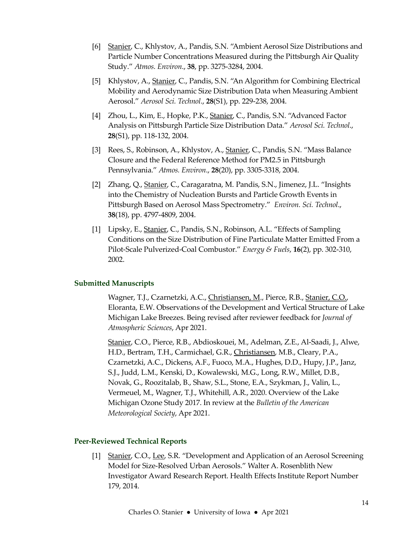- [6] Stanier, C., Khlystov, A., Pandis, S.N. "Ambient Aerosol Size Distributions and Particle Number Concentrations Measured during the Pittsburgh Air Quality Study." Atmos. Environ., 38, pp. 3275-3284, 2004.
- [5] Khlystov, A., Stanier, C., Pandis, S.N. "An Algorithm for Combining Electrical Mobility and Aerodynamic Size Distribution Data when Measuring Ambient Aerosol." Aerosol Sci. Technol., 28(S1), pp. 229-238, 2004.
- [4] Zhou, L., Kim, E., Hopke, P.K., Stanier, C., Pandis, S.N. "Advanced Factor" Analysis on Pittsburgh Particle Size Distribution Data." Aerosol Sci. Technol., 28(S1), pp. 118-132, 2004.
- [3] Rees, S., Robinson, A., Khlystov, A., Stanier, C., Pandis, S.N. "Mass Balance Closure and the Federal Reference Method for PM2.5 in Pittsburgh Pennsylvania." Atmos. Environ., 28(20), pp. 3305-3318, 2004.
- [2] Zhang, Q., Stanier, C., Caragaratna, M. Pandis, S.N., Jimenez, J.L. "Insights into the Chemistry of Nucleation Bursts and Particle Growth Events in Pittsburgh Based on Aerosol Mass Spectrometry." Environ. Sci. Technol., 38(18), pp. 4797-4809, 2004.
- [1] Lipsky, E., Stanier, C., Pandis, S.N., Robinson, A.L. "Effects of Sampling Conditions on the Size Distribution of Fine Particulate Matter Emitted From a Pilot-Scale Pulverized-Coal Combustor." Energy & Fuels, 16(2), pp. 302-310, 2002.

## Submitted Manuscripts

 Wagner, T.J., Czarnetzki, A.C., Christiansen, M., Pierce, R.B., Stanier, C.O., Eloranta, E.W. Observations of the Development and Vertical Structure of Lake Michigan Lake Breezes. Being revised after reviewer feedback for Journal of Atmospheric Sciences, Apr 2021.

Stanier, C.O., Pierce, R.B., Abdioskouei, M., Adelman, Z.E., Al-Saadi, J., Alwe, H.D., Bertram, T.H., Carmichael, G.R., Christiansen, M.B., Cleary, P.A., Czarnetzki, A.C., Dickens, A.F., Fuoco, M.A., Hughes, D.D., Hupy, J.P., Janz, S.J., Judd, L.M., Kenski, D., Kowalewski, M.G., Long, R.W., Millet, D.B., Novak, G., Roozitalab, B., Shaw, S.L., Stone, E.A., Szykman, J., Valin, L., Vermeuel, M., Wagner, T.J., Whitehill, A.R., 2020. Overview of the Lake Michigan Ozone Study 2017. In review at the Bulletin of the American Meteorological Society, Apr 2021.

## Peer-Reviewed Technical Reports

[1] Stanier, C.O., Lee, S.R. "Development and Application of an Aerosol Screening Model for Size-Resolved Urban Aerosols." Walter A. Rosenblith New Investigator Award Research Report. Health Effects Institute Report Number 179, 2014.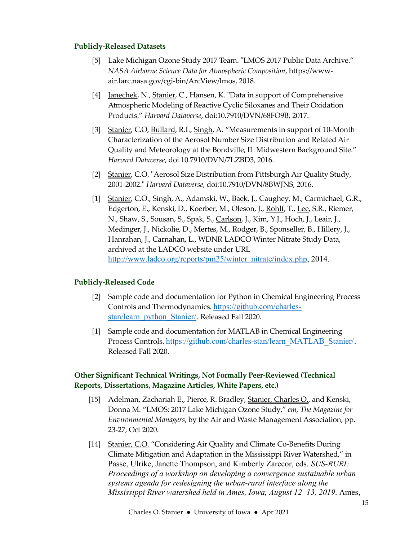## Publicly-Released Datasets

- [5] Lake Michigan Ozone Study 2017 Team. "LMOS 2017 Public Data Archive." NASA Airborne Science Data for Atmospheric Composition, https://wwwair.larc.nasa.gov/cgi-bin/ArcView/lmos, 2018.
- [4] Janechek, N., Stanier, C., Hansen, K. "Data in support of Comprehensive Atmospheric Modeling of Reactive Cyclic Siloxanes and Their Oxidation Products." Harvard Dataverse, doi:10.7910/DVN/68FO9B, 2017.
- [3] Stanier, C.O, Bullard, R.L, Singh, A. "Measurements in support of 10-Month Characterization of the Aerosol Number Size Distribution and Related Air Quality and Meteorology at the Bondville, IL Midwestern Background Site." Harvard Dataverse, doi 10.7910/DVN/7LZBD3, 2016.
- [2] Stanier, C.O. "Aerosol Size Distribution from Pittsburgh Air Quality Study, 2001-2002." Harvard Dataverse, doi:10.7910/DVN/8BWJNS, 2016.
- [1] Stanier, C.O., Singh, A., Adamski, W., Baek, J., Caughey, M., Carmichael, G.R., Edgerton, E., Kenski, D., Koerber, M., Oleson, J., Rohlf, T., Lee, S.R., Riemer, N., Shaw, S., Sousan, S., Spak, S., Carlson, J., Kim, Y.J., Hoch, J., Leair, J., Medinger, J., Nickolie, D., Mertes, M., Rodger, B., Sponseller, B., Hillery, J., Hanrahan, J., Carnahan, L., WDNR LADCO Winter Nitrate Study Data, archived at the LADCO website under URL http://www.ladco.org/reports/pm25/winter\_nitrate/index.php, 2014.

## Publicly-Released Code

- [2] Sample code and documentation for Python in Chemical Engineering Process Controls and Thermodynamics. https://github.com/charlesstan/learn\_python\_Stanier/. Released Fall 2020.
- [1] Sample code and documentation for MATLAB in Chemical Engineering Process Controls. https://github.com/charles-stan/learn\_MATLAB\_Stanier/. Released Fall 2020.

## Other Significant Technical Writings, Not Formally Peer-Reviewed (Technical Reports, Dissertations, Magazine Articles, White Papers, etc.)

- [15] Adelman, Zachariah E., Pierce, R. Bradley, Stanier, Charles O., and Kenski, Donna M. "LMOS: 2017 Lake Michigan Ozone Study," em, The Magazine for Environmental Managers, by the Air and Waste Management Association, pp. 23-27, Oct 2020.
- [14] Stanier, C.O. "Considering Air Quality and Climate Co-Benefits During Climate Mitigation and Adaptation in the Mississippi River Watershed," in Passe, Ulrike, Janette Thompson, and Kimberly Zarecor, eds. SUS-RURI: Proceedings of a workshop on developing a convergence sustainable urban systems agenda for redesigning the urban-rural interface along the Mississippi River watershed held in Ames, Iowa, August 12–13, 2019. Ames,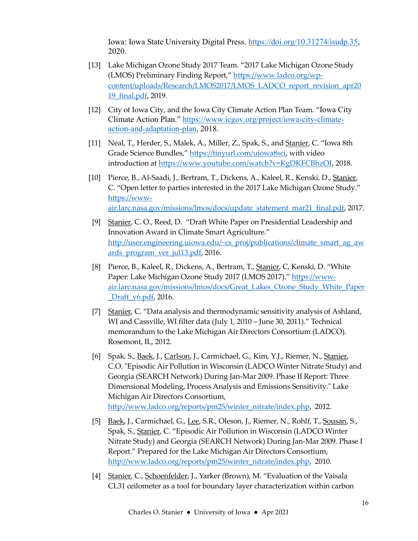Iowa: Iowa State University Digital Press. https://doi.org/10.31274/isudp.35, 2020.

- [13] Lake Michigan Ozone Study 2017 Team. "2017 Lake Michigan Ozone Study (LMOS) Preliminary Finding Report," https://www.ladco.org/wpcontent/uploads/Research/LMOS2017/LMOS\_LADCO\_report\_revision\_apr20 19\_final.pdf, 2019.
- [12] City of Iowa City, and the Iowa City Climate Action Plan Team. "Iowa City Climate Action Plan." https://www.icgov.org/project/iowa-city-climateaction-and-adaptation-plan, 2018.
- [11] Neal, T., Herder, S., Malek, A., Miller, Z., Spak, S., and Stanier, C. "Iowa 8th Grade Science Bundles," https://tinyurl.com/uiowa8sci, with video introduction at https://www.youtube.com/watch?v=KgDKFCBhzOI, 2018.
- [10] Pierce, B., Al-Saadi, J., Bertram, T., Dickens, A., Kaleel, R., Kenski, D., Stanier, C. "Open letter to parties interested in the 2017 Lake Michigan Ozone Study." https://wwwair.larc.nasa.gov/missions/lmos/docs/update\_statement\_mar21\_final.pdf, 2017.
- [9] Stanier, C. O., Reed, D. "Draft White Paper on Presidential Leadership and Innovation Award in Climate Smart Agriculture." http://user.engineering.uiowa.edu/~cs\_proj/publications/climate\_smart\_ag\_aw ards\_program\_ver\_jul13.pdf, 2016.
- [8] Pierce, B., Kaleel, R., Dickens, A., Bertram, T., Stanier, C, Kenski, D. "White Paper: Lake Michigan Ozone Study 2017 (LMOS 2017)." https://wwwair.larc.nasa.gov/missions/lmos/docs/Great\_Lakes\_Ozone\_Study\_White\_Paper \_Draft\_v6.pdf, 2016.
- [7] Stanier, C. "Data analysis and thermodynamic sensitivity analysis of Ashland, WI and Cassville, WI filter data (July 1, 2010 – June 30, 2011)." Technical memorandum to the Lake Michigan Air Directors Consortium (LADCO). Rosemont, IL, 2012.
- [6] Spak, S., Baek, J., Carlson, J., Carmichael, G., Kim, Y.J., Riemer, N., Stanier, C.O. "Episodic Air Pollution in Wisconsin (LADCO Winter Nitrate Study) and Georgia (SEARCH Network) During Jan-Mar 2009. Phase II Report: Three Dimensional Modeling, Process Analysis and Emissions Sensitivity." Lake Michigan Air Directors Consortium, http://www.ladco.org/reports/pm25/winter\_nitrate/index.php, 2012.
- [5] Baek, J., Carmichael, G., Lee, S.R., Oleson, J., Riemer, N., Rohlf, T., Sousan, S., Spak, S., Stanier, C. "Episodic Air Pollution in Wisconsin (LADCO Winter Nitrate Study) and Georgia (SEARCH Network) During Jan-Mar 2009. Phase I Report." Prepared for the Lake Michigan Air Directors Consortium, http://www.ladco.org/reports/pm25/winter\_nitrate/index.php, 2010.
- [4] Stanier, C., Schoenfelder, J., Yarker (Brown), M. "Evaluation of the Vaisala CL31 ceilometer as a tool for boundary layer characterization within carbon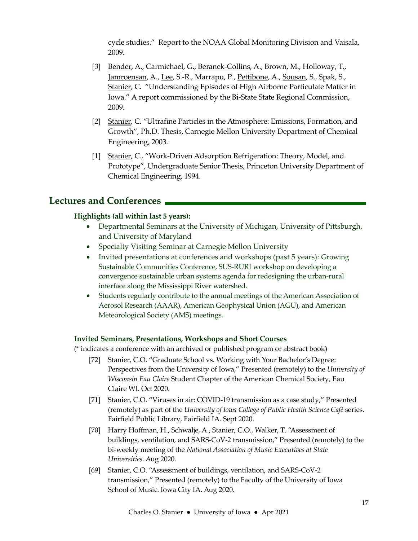cycle studies." Report to the NOAA Global Monitoring Division and Vaisala, 2009.

- [3] Bender, A., Carmichael, G., Beranek-Collins, A., Brown, M., Holloway, T., Jamroensan, A., Lee, S.-R., Marrapu, P., Pettibone, A., Sousan, S., Spak, S., Stanier, C. "Understanding Episodes of High Airborne Particulate Matter in Iowa." A report commissioned by the Bi-State State Regional Commission, 2009.
- [2] Stanier, C. "Ultrafine Particles in the Atmosphere: Emissions, Formation, and Growth", Ph.D. Thesis, Carnegie Mellon University Department of Chemical Engineering, 2003.
- [1] Stanier, C., "Work-Driven Adsorption Refrigeration: Theory, Model, and Prototype", Undergraduate Senior Thesis, Princeton University Department of Chemical Engineering, 1994.

## Lectures and Conferences

## Highlights (all within last 5 years):

- Departmental Seminars at the University of Michigan, University of Pittsburgh, and University of Maryland
- Specialty Visiting Seminar at Carnegie Mellon University
- Invited presentations at conferences and workshops (past 5 years): Growing Sustainable Communities Conference, SUS-RURI workshop on developing a convergence sustainable urban systems agenda for redesigning the urban-rural interface along the Mississippi River watershed.
- Students regularly contribute to the annual meetings of the American Association of Aerosol Research (AAAR), American Geophysical Union (AGU), and American Meteorological Society (AMS) meetings.

## Invited Seminars, Presentations, Workshops and Short Courses

(\* indicates a conference with an archived or published program or abstract book)

- [72] Stanier, C.O. "Graduate School vs. Working with Your Bachelor's Degree: Perspectives from the University of Iowa," Presented (remotely) to the University of Wisconsin Eau Claire Student Chapter of the American Chemical Society, Eau Claire WI. Oct 2020.
- [71] Stanier, C.O. "Viruses in air: COVID-19 transmission as a case study," Presented (remotely) as part of the University of Iowa College of Public Health Science Café series. Fairfield Public Library, Fairfield IA. Sept 2020.
- [70] Harry Hoffman, H., Schwalje, A., Stanier, C.O., Walker, T. "Assessment of buildings, ventilation, and SARS-CoV-2 transmission," Presented (remotely) to the bi-weekly meeting of the National Association of Music Executives at State Universities. Aug 2020.
- [69] Stanier, C.O. "Assessment of buildings, ventilation, and SARS-CoV-2 transmission," Presented (remotely) to the Faculty of the University of Iowa School of Music. Iowa City IA. Aug 2020.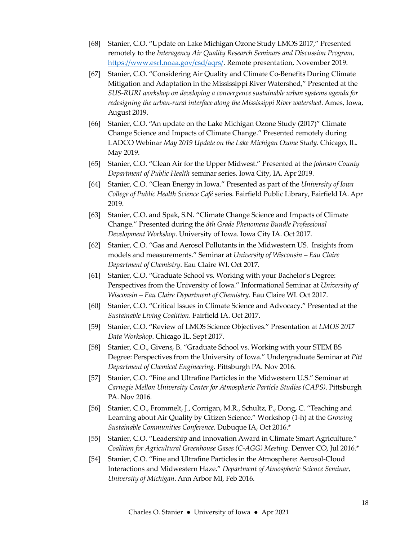- [68] Stanier, C.O. "Update on Lake Michigan Ozone Study LMOS 2017," Presented remotely to the Interagency Air Quality Research Seminars and Discussion Program, https://www.esrl.noaa.gov/csd/aqrs/. Remote presentation, November 2019.
- [67] Stanier, C.O. "Considering Air Quality and Climate Co-Benefits During Climate Mitigation and Adaptation in the Mississippi River Watershed," Presented at the SUS-RURI workshop on developing a convergence sustainable urban systems agenda for redesigning the urban-rural interface along the Mississippi River watershed. Ames, Iowa, August 2019.
- [66] Stanier, C.O. "An update on the Lake Michigan Ozone Study (2017)" Climate Change Science and Impacts of Climate Change." Presented remotely during LADCO Webinar May 2019 Update on the Lake Michigan Ozone Study. Chicago, IL. May 2019.
- [65] Stanier, C.O. "Clean Air for the Upper Midwest." Presented at the Johnson County Department of Public Health seminar series. Iowa City, IA. Apr 2019.
- [64] Stanier, C.O. "Clean Energy in Iowa." Presented as part of the University of Iowa College of Public Health Science Café series. Fairfield Public Library, Fairfield IA. Apr 2019.
- [63] Stanier, C.O. and Spak, S.N. "Climate Change Science and Impacts of Climate Change." Presented during the 8th Grade Phenomena Bundle Professional Development Workshop. University of Iowa. Iowa City IA. Oct 2017.
- [62] Stanier, C.O. "Gas and Aerosol Pollutants in the Midwestern US. Insights from models and measurements." Seminar at University of Wisconsin – Eau Claire Department of Chemistry. Eau Claire WI. Oct 2017.
- [61] Stanier, C.O. "Graduate School vs. Working with your Bachelor's Degree: Perspectives from the University of Iowa." Informational Seminar at University of Wisconsin – Eau Claire Department of Chemistry. Eau Claire WI. Oct 2017.
- [60] Stanier, C.O. "Critical Issues in Climate Science and Advocacy." Presented at the Sustainable Living Coalition. Fairfield IA. Oct 2017.
- [59] Stanier, C.O. "Review of LMOS Science Objectives." Presentation at LMOS 2017 Data Workshop. Chicago IL. Sept 2017.
- [58] Stanier, C.O., Givens, B. "Graduate School vs. Working with your STEM BS Degree: Perspectives from the University of Iowa." Undergraduate Seminar at Pitt Department of Chemical Engineering. Pittsburgh PA. Nov 2016.
- [57] Stanier, C.O. "Fine and Ultrafine Particles in the Midwestern U.S." Seminar at Carnegie Mellon University Center for Atmospheric Particle Studies (CAPS). Pittsburgh PA. Nov 2016.
- [56] Stanier, C.O., Frommelt, J., Corrigan, M.R., Schultz, P., Dong, C. "Teaching and Learning about Air Quality by Citizen Science." Workshop (1-h) at the Growing Sustainable Communities Conference. Dubuque IA, Oct 2016.\*
- [55] Stanier, C.O. "Leadership and Innovation Award in Climate Smart Agriculture." Coalition for Agricultural Greenhouse Gases (C-AGG) Meeting. Denver CO, Jul 2016.\*
- [54] Stanier, C.O. "Fine and Ultrafine Particles in the Atmosphere: Aerosol-Cloud Interactions and Midwestern Haze." Department of Atmospheric Science Seminar, University of Michigan. Ann Arbor MI, Feb 2016.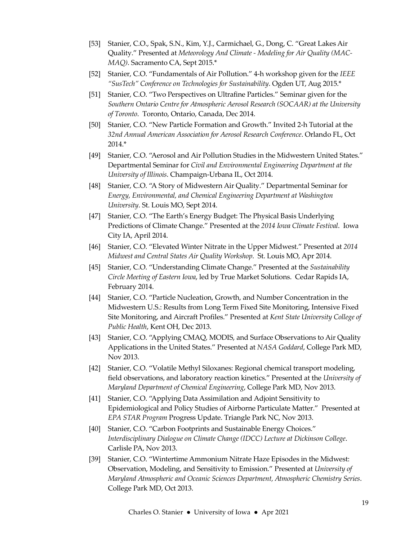- [53] Stanier, C.O., Spak, S.N., Kim, Y.J., Carmichael, G., Dong, C. "Great Lakes Air Quality." Presented at Meteorology And Climate - Modeling for Air Quality (MAC-MAQ). Sacramento CA, Sept 2015.\*
- [52] Stanier, C.O. "Fundamentals of Air Pollution." 4-h workshop given for the IEEE "SusTech" Conference on Technologies for Sustainability. Ogden UT, Aug 2015.\*
- [51] Stanier, C.O. "Two Perspectives on Ultrafine Particles." Seminar given for the Southern Ontario Centre for Atmospheric Aerosol Research (SOCAAR) at the University of Toronto. Toronto, Ontario, Canada, Dec 2014.
- [50] Stanier, C.O. "New Particle Formation and Growth." Invited 2-h Tutorial at the 32nd Annual American Association for Aerosol Research Conference. Orlando FL, Oct 2014.\*
- [49] Stanier, C.O. "Aerosol and Air Pollution Studies in the Midwestern United States." Departmental Seminar for Civil and Environmental Engineering Department at the University of Illinois. Champaign-Urbana IL, Oct 2014.
- [48] Stanier, C.O. "A Story of Midwestern Air Quality." Departmental Seminar for Energy, Environmental, and Chemical Engineering Department at Washington University. St. Louis MO, Sept 2014.
- [47] Stanier, C.O. "The Earth's Energy Budget: The Physical Basis Underlying Predictions of Climate Change." Presented at the 2014 Iowa Climate Festival. Iowa City IA, April 2014.
- [46] Stanier, C.O. "Elevated Winter Nitrate in the Upper Midwest." Presented at 2014 Midwest and Central States Air Quality Workshop. St. Louis MO, Apr 2014.
- [45] Stanier, C.O. "Understanding Climate Change." Presented at the Sustainability Circle Meeting of Eastern Iowa, led by True Market Solutions. Cedar Rapids IA, February 2014.
- [44] Stanier, C.O. "Particle Nucleation, Growth, and Number Concentration in the Midwestern U.S.: Results from Long Term Fixed Site Monitoring, Intensive Fixed Site Monitoring, and Aircraft Profiles." Presented at Kent State University College of Public Health, Kent OH, Dec 2013.
- [43] Stanier, C.O. "Applying CMAQ, MODIS, and Surface Observations to Air Quality Applications in the United States." Presented at NASA Goddard, College Park MD, Nov 2013.
- [42] Stanier, C.O. "Volatile Methyl Siloxanes: Regional chemical transport modeling, field observations, and laboratory reaction kinetics." Presented at the University of Maryland Department of Chemical Engineering, College Park MD, Nov 2013.
- [41] Stanier, C.O. "Applying Data Assimilation and Adjoint Sensitivity to Epidemiological and Policy Studies of Airborne Particulate Matter." Presented at EPA STAR Program Progress Update. Triangle Park NC, Nov 2013.
- [40] Stanier, C.O. "Carbon Footprints and Sustainable Energy Choices." Interdisciplinary Dialogue on Climate Change (IDCC) Lecture at Dickinson College. Carlisle PA, Nov 2013.
- [39] Stanier, C.O. "Wintertime Ammonium Nitrate Haze Episodes in the Midwest: Observation, Modeling, and Sensitivity to Emission." Presented at University of Maryland Atmospheric and Oceanic Sciences Department, Atmospheric Chemistry Series. College Park MD, Oct 2013.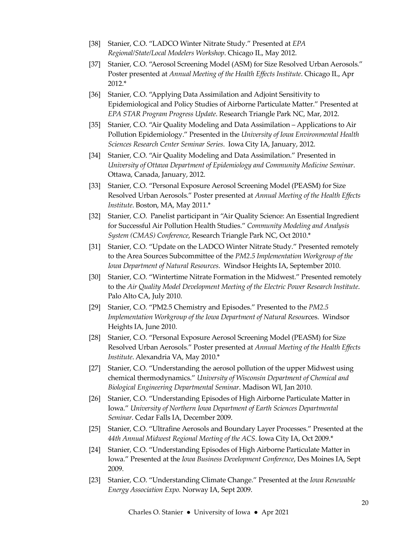- [38] Stanier, C.O. "LADCO Winter Nitrate Study." Presented at EPA Regional/State/Local Modelers Workshop. Chicago IL, May 2012.
- [37] Stanier, C.O. "Aerosol Screening Model (ASM) for Size Resolved Urban Aerosols." Poster presented at Annual Meeting of the Health Effects Institute. Chicago IL, Apr 2012.\*
- [36] Stanier, C.O. "Applying Data Assimilation and Adjoint Sensitivity to Epidemiological and Policy Studies of Airborne Particulate Matter." Presented at EPA STAR Program Progress Update. Research Triangle Park NC, Mar, 2012.
- [35] Stanier, C.O. "Air Quality Modeling and Data Assimilation Applications to Air Pollution Epidemiology." Presented in the University of Iowa Environmental Health Sciences Research Center Seminar Series. Iowa City IA, January, 2012.
- [34] Stanier, C.O. "Air Quality Modeling and Data Assimilation." Presented in University of Ottawa Department of Epidemiology and Community Medicine Seminar. Ottawa, Canada, January, 2012.
- [33] Stanier, C.O. "Personal Exposure Aerosol Screening Model (PEASM) for Size Resolved Urban Aerosols." Poster presented at Annual Meeting of the Health Effects Institute. Boston, MA, May 2011.\*
- [32] Stanier, C.O. Panelist participant in "Air Quality Science: An Essential Ingredient for Successful Air Pollution Health Studies." Community Modeling and Analysis System (CMAS) Conference, Research Triangle Park NC, Oct 2010.\*
- [31] Stanier, C.O. "Update on the LADCO Winter Nitrate Study." Presented remotely to the Area Sources Subcommittee of the PM2.5 Implementation Workgroup of the Iowa Department of Natural Resources. Windsor Heights IA, September 2010.
- [30] Stanier, C.O. "Wintertime Nitrate Formation in the Midwest." Presented remotely to the Air Quality Model Development Meeting of the Electric Power Research Institute. Palo Alto CA, July 2010.
- [29] Stanier, C.O. "PM2.5 Chemistry and Episodes." Presented to the PM2.5 Implementation Workgroup of the Iowa Department of Natural Resources. Windsor Heights IA, June 2010.
- [28] Stanier, C.O. "Personal Exposure Aerosol Screening Model (PEASM) for Size Resolved Urban Aerosols." Poster presented at Annual Meeting of the Health Effects Institute. Alexandria VA, May 2010.\*
- [27] Stanier, C.O. "Understanding the aerosol pollution of the upper Midwest using chemical thermodynamics." University of Wisconsin Department of Chemical and Biological Engineering Departmental Seminar. Madison WI, Jan 2010.
- [26] Stanier, C.O. "Understanding Episodes of High Airborne Particulate Matter in Iowa." University of Northern Iowa Department of Earth Sciences Departmental Seminar. Cedar Falls IA, December 2009.
- [25] Stanier, C.O. "Ultrafine Aerosols and Boundary Layer Processes." Presented at the 44th Annual Midwest Regional Meeting of the ACS. Iowa City IA, Oct 2009.\*
- [24] Stanier, C.O. "Understanding Episodes of High Airborne Particulate Matter in Iowa." Presented at the Iowa Business Development Conference, Des Moines IA, Sept 2009.
- [23] Stanier, C.O. "Understanding Climate Change." Presented at the Iowa Renewable Energy Association Expo. Norway IA, Sept 2009.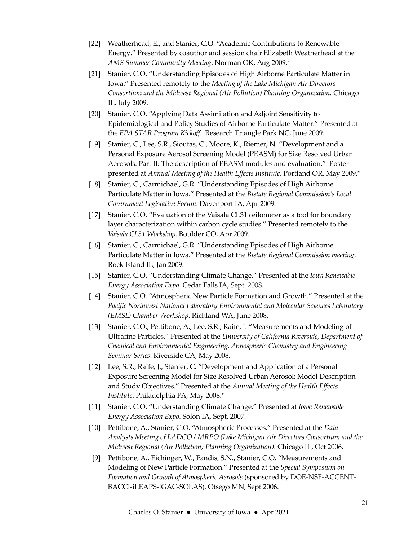- [22] Weatherhead, E., and Stanier, C.O. "Academic Contributions to Renewable Energy." Presented by coauthor and session chair Elizabeth Weatherhead at the AMS Summer Community Meeting. Norman OK, Aug 2009.\*
- [21] Stanier, C.O. "Understanding Episodes of High Airborne Particulate Matter in Iowa." Presented remotely to the Meeting of the Lake Michigan Air Directors Consortium and the Midwest Regional (Air Pollution) Planning Organization. Chicago IL, July 2009.
- [20] Stanier, C.O. "Applying Data Assimilation and Adjoint Sensitivity to Epidemiological and Policy Studies of Airborne Particulate Matter." Presented at the EPA STAR Program Kickoff. Research Triangle Park NC, June 2009.
- [19] Stanier, C., Lee, S.R., Sioutas, C., Moore, K., Riemer, N. "Development and a Personal Exposure Aerosol Screening Model (PEASM) for Size Resolved Urban Aerosols: Part II: The description of PEASM modules and evaluation." Poster presented at Annual Meeting of the Health Effects Institute, Portland OR, May 2009.\*
- [18] Stanier, C., Carmichael, G.R. "Understanding Episodes of High Airborne Particulate Matter in Iowa." Presented at the Bistate Regional Commission's Local Government Legislative Forum. Davenport IA, Apr 2009.
- [17] Stanier, C.O. "Evaluation of the Vaisala CL31 ceilometer as a tool for boundary layer characterization within carbon cycle studies." Presented remotely to the Vaisala CL31 Workshop. Boulder CO, Apr 2009.
- [16] Stanier, C., Carmichael, G.R. "Understanding Episodes of High Airborne Particulate Matter in Iowa." Presented at the Bistate Regional Commission meeting. Rock Island IL, Jan 2009.
- [15] Stanier, C.O. "Understanding Climate Change." Presented at the Iowa Renewable Energy Association Expo. Cedar Falls IA, Sept. 2008.
- [14] Stanier, C.O. "Atmospheric New Particle Formation and Growth." Presented at the Pacific Northwest National Laboratory Environmental and Molecular Sciences Laboratory (EMSL) Chamber Workshop. Richland WA, June 2008.
- [13] Stanier, C.O., Pettibone, A., Lee, S.R., Raife, J. "Measurements and Modeling of Ultrafine Particles." Presented at the University of California Riverside, Department of Chemical and Environmental Engineering, Atmospheric Chemistry and Engineering Seminar Series. Riverside CA, May 2008.
- [12] Lee, S.R., Raife, J., Stanier, C. "Development and Application of a Personal Exposure Screening Model for Size Resolved Urban Aerosol: Model Description and Study Objectives." Presented at the Annual Meeting of the Health Effects Institute. Philadelphia PA, May 2008.\*
- [11] Stanier, C.O. "Understanding Climate Change." Presented at Iowa Renewable Energy Association Expo. Solon IA, Sept. 2007.
- [10] Pettibone, A., Stanier, C.O. "Atmospheric Processes." Presented at the Data Analysts Meeting of LADCO / MRPO (Lake Michigan Air Directors Consortium and the Midwest Regional (Air Pollution) Planning Organization). Chicago IL, Oct 2006.
- [9] Pettibone, A., Eichinger, W., Pandis, S.N., Stanier, C.O. "Measurements and Modeling of New Particle Formation." Presented at the Special Symposium on Formation and Growth of Atmospheric Aerosols (sponsored by DOE-NSF-ACCENT-BACCI-iLEAPS-IGAC-SOLAS). Otsego MN, Sept 2006.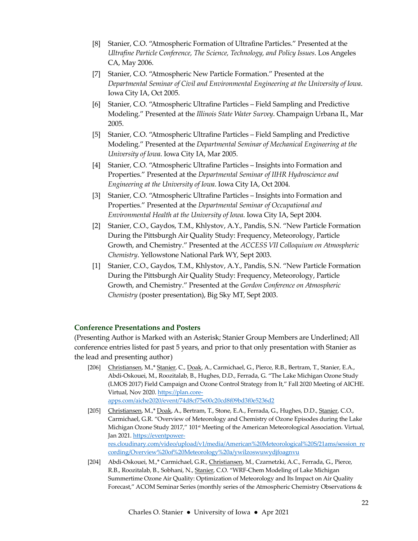- [8] Stanier, C.O. "Atmospheric Formation of Ultrafine Particles." Presented at the Ultrafine Particle Conference, The Science, Technology, and Policy Issues. Los Angeles CA, May 2006.
- [7] Stanier, C.O. "Atmospheric New Particle Formation." Presented at the Departmental Seminar of Civil and Environmental Engineering at the University of Iowa. Iowa City IA, Oct 2005.
- [6] Stanier, C.O. "Atmospheric Ultrafine Particles Field Sampling and Predictive Modeling." Presented at the Illinois State Water Survey. Champaign Urbana IL, Mar 2005.
- [5] Stanier, C.O. "Atmospheric Ultrafine Particles Field Sampling and Predictive Modeling." Presented at the Departmental Seminar of Mechanical Engineering at the University of Iowa. Iowa City IA, Mar 2005.
- [4] Stanier, C.O. "Atmospheric Ultrafine Particles Insights into Formation and Properties." Presented at the Departmental Seminar of IIHR Hydroscience and Engineering at the University of Iowa. Iowa City IA, Oct 2004.
- [3] Stanier, C.O. "Atmospheric Ultrafine Particles Insights into Formation and Properties." Presented at the Departmental Seminar of Occupational and Environmental Health at the University of Iowa. Iowa City IA, Sept 2004.
- [2] Stanier, C.O., Gaydos, T.M., Khlystov, A.Y., Pandis, S.N. "New Particle Formation During the Pittsburgh Air Quality Study: Frequency, Meteorology, Particle Growth, and Chemistry." Presented at the ACCESS VII Colloquium on Atmospheric Chemistry. Yellowstone National Park WY, Sept 2003.
- [1] Stanier, C.O., Gaydos, T.M., Khlystov, A.Y., Pandis, S.N. "New Particle Formation During the Pittsburgh Air Quality Study: Frequency, Meteorology, Particle Growth, and Chemistry." Presented at the Gordon Conference on Atmospheric Chemistry (poster presentation), Big Sky MT, Sept 2003.

#### Conference Presentations and Posters

(Presenting Author is Marked with an Asterisk; Stanier Group Members are Underlined; All conference entries listed for past 5 years, and prior to that only presentation with Stanier as the lead and presenting author)

- [206] Christiansen, M.,\* Stanier, C., Doak, A., Carmichael, G., Pierce, R.B., Bertram, T., Stanier, E.A., Abdi-Oskouei, M., Roozitalab, B., Hughes, D.D., Ferrada, G. "The Lake Michigan Ozone Study (LMOS 2017) Field Campaign and Ozone Control Strategy from It," Fall 2020 Meeting of AICHE. Virtual, Nov 2020. https://plan.coreapps.com/aiche2020/event/74d8cf75e00c20cd8f09bd3f0e5236d2
- [205] Christiansen, M.,\* Doak, A., Bertram, T., Stone, E.A., Ferrada, G., Hughes, D.D., Stanier, C.O., Carmichael, G.R. "Overview of Meteorology and Chemistry of Ozone Episodes during the Lake Michigan Ozone Study 2017," 101<sup>st</sup> Meeting of the American Meteorological Association. Virtual, Jan 2021. https://eventpowerres.cloudinary.com/video/upload/v1/media/American%20Meteorological%20S/21ams/session\_re cording/Overview%20of%20Meteorology%20a/ywilzoswuwydjfoagnvu
- [204] Abdi-Oskouei, M.,\* Carmichael, G.R., Christiansen, M., Czarnetzki, A.C., Ferrada, G., Pierce, R.B., Roozitalab, B., Sobhani, N., Stanier, C.O. "WRF-Chem Modeling of Lake Michigan Summertime Ozone Air Quality: Optimization of Meteorology and Its Impact on Air Quality Forecast," ACOM Seminar Series (monthly series of the Atmospheric Chemistry Observations &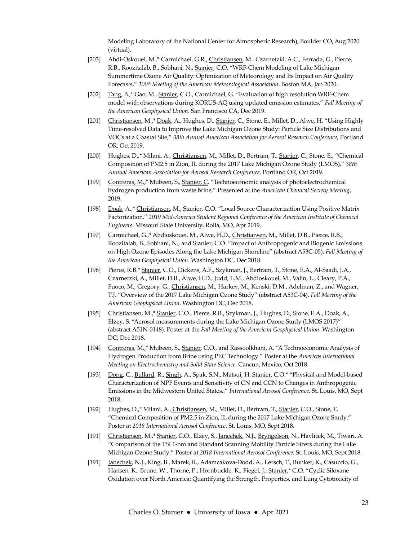Modeling Laboratory of the National Center for Atmospheric Research), Boulder CO, Aug 2020 (virtual).

- [203] Abdi-Oskouei, M.,\* Carmichael, G.R., Christiansen, M., Czarnetzki, A.C., Ferrada, G., Pierce, R.B., Roozitalab, B., Sobhani, N., Stanier, C.O. "WRF-Chem Modeling of Lake Michigan Summertime Ozone Air Quality: Optimization of Meteorology and Its Impact on Air Quality Forecasts," 100<sup>th</sup> Meeting of the American Meteorological Association. Boston MA, Jan 2020.
- [202] Tang, B.,\* Gao, M., Stanier, C.O., Carmichael, G. "Evaluation of high resolution WRF-Chem model with observations during KORUS-AQ using updated emission estimates," Fall Meeting of the American Geophysical Union. San Francisco CA, Dec 2019.
- [201] Christiansen, M.,\* Doak, A., Hughes, D., Stanier, C., Stone, E., Millet, D., Alwe, H. "Using Highly Time-resolved Data to Improve the Lake Michigan Ozone Study: Particle Size Distributions and VOCs at a Coastal Site," 38th Annual American Association for Aerosol Research Conference, Portland OR, Oct 2019.
- [200] Hughes, D.,\* Milani, A., Christiansen, M., Millet, D., Bertram, T., Stanier, C., Stone, E., "Chemical Composition of PM2.5 in Zion, IL during the 2017 Lake Michigan Ozone Study (LMOS)," 38th Annual American Association for Aerosol Research Conference, Portland OR, Oct 2019.
- [199] Contreras, M.,\* Mubeen, S., Stanier, C. "Technoeconomic analysis of photoelectrochemical hydrogen production from waste brine," Presented at the American Chemical Society Meeting, 2019.
- [198] Doak, A.,\* Christiansen, M., Stanier, C.O. "Local Source Characterization Using Positive Matrix Factorization." 2019 Mid-America Student Regional Conference of the American Institute of Chemical Engineers. Missouri State University, Rolla, MO, Apr 2019.
- [197] Carmichael, G.,\* Abdioskouei, M., Alwe, H.D., Christiansen, M., Millet, D.B., Pierce, R.B., Roozitalab, B., Sobhani, N., and Stanier, C.O. "Impact of Anthropogenic and Biogenic Emissions on High Ozone Episodes Along the Lake Michigan Shoreline" (abstract A53C-05). Fall Meeting of the American Geophysical Union. Washington DC, Dec 2018.
- [196] Pierce, R.B.\* Stanier, C.O., Dickens, A.F., Szykman, J., Bertram, T., Stone, E.A., Al-Saadi, J.A., Czarnetzki, A., Millet, D.B., Alwe, H.D., Judd, L.M., Abdioskouei, M., Valin, L., Cleary, P.A., Fuoco, M., Gregory, G., *Christiansen*, M., Harkey, M., Kenski, D.M., Adelman, Z., and Wagner, T.J. "Overview of the 2017 Lake Michigan Ozone Study" (abstract A53C-04). Fall Meeting of the American Geophysical Union. Washington DC, Dec 2018.
- [195] Christiansen, M.,\* Stanier, C.O., Pierce, R.B., Szykman, J., Hughes, D., Stone, E.A., Doak, A., Elzey, S. "Aerosol measurements during the Lake Michigan Ozone Study (LMOS 2017)" (abstract A51N-0148). Poster at the Fall Meeting of the American Geophysical Union. Washington DC, Dec 2018.
- [194] Contreras, M.,\* Mubeen, S., Stanier, C.O., and Rassoolkhani, A. "A Technoeconomic Analysis of Hydrogen Production from Brine using PEC Technology." Poster at the Americas International Meeting on Electrochemistry and Solid State Science. Cancun, Mexico, Oct 2018.
- [193] Dong, C., Bullard, R., Singh, A., Spak, S.N., Matsui, H. Stanier, C.O.\* "Physical and Model-based Characterization of NPF Events and Sensitivity of CN and CCN to Changes in Anthropogenic Emissions in the Midwestern United States.." International Aerosol Conference. St. Louis, MO, Sept 2018.
- [192] Hughes, D.,\* Milani, A., Christiansen, M., Millet, D., Bertram, T., Stanier, C.O., Stone, E. "Chemical Composition of PM2.5 in Zion, IL during the 2017 Lake Michigan Ozone Study." Poster at 2018 International Aerosol Conference. St. Louis, MO, Sept 2018.
- [191] Christiansen, M.,\* Stanier, C.O., Elzey, S., Janechek, N.J., Bryngelson, N., Havlicek, M., Tiwari, A. "Comparison of the TSI 1-nm and Standard Scanning Mobility Particle Sizers during the Lake Michigan Ozone Study." Poster at 2018 International Aerosol Conference. St. Louis, MO, Sept 2018.
- [191] <u>Janechek</u>, N.J., King, B., Marek, R., Adamcakova-Dodd, A., Lersch, T., Bunker, K., Casuccio, G., Hansen, K., Brune, W., Thorne, P., Hornbuckle, K., Fiegel, J., Stanier,\* C.O. "Cyclic Siloxane Oxidation over North America: Quantifying the Strength, Properties, and Lung Cytotoxicity of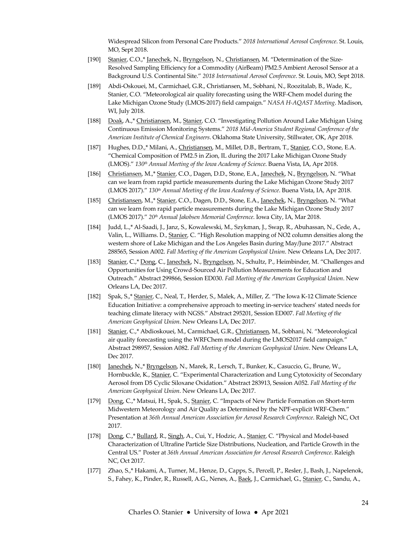Widespread Silicon from Personal Care Products." 2018 International Aerosol Conference. St. Louis, MO, Sept 2018.

- [190] Stanier, C.O.,\* Janechek, N., Bryngelson, N., Christiansen, M. "Determination of the Size-Resolved Sampling Efficiency for a Commodity (AirBeam) PM2.5 Ambient Aerosol Sensor at a Background U.S. Continental Site." 2018 International Aerosol Conference. St. Louis, MO, Sept 2018.
- [189] Abdi-Oskouei, M., Carmichael, G.R., Christiansen, M., Sobhani, N., Roozitalab, B., Wade, K., Stanier, C.O. "Meteorological air quality forecasting using the WRF-Chem model during the Lake Michigan Ozone Study (LMOS-2017) field campaign." NASA H-AQAST Meeting. Madison, WI, July 2018.
- [188] Doak, A.,\* Christiansen, M., Stanier, C.O. "Investigating Pollution Around Lake Michigan Using Continuous Emission Monitoring Systems." 2018 Mid-America Student Regional Conference of the American Institute of Chemical Engineers. Oklahoma State University, Stillwater, OK, Apr 2018.
- [187] Hughes, D.D.,\* Milani, A., Christiansen, M., Millet, D.B., Bertram, T., Stanier, C.O., Stone, E.A. "Chemical Composition of PM2.5 in Zion, IL during the 2017 Lake Michigan Ozone Study (LMOS)." 130<sup>th</sup> Annual Meeting of the Iowa Academy of Science. Buena Vista, IA, Apr 2018.
- [186] Christiansen, M.,\* Stanier, C.O., Dagen, D.D., Stone, E.A., Janechek, N., Bryngelson, N. "What can we learn from rapid particle measurements during the Lake Michigan Ozone Study 2017 (LMOS 2017)." 130<sup>th</sup> Annual Meeting of the Iowa Academy of Science. Buena Vista, IA, Apr 2018.
- [185] Christiansen, M.,\* Stanier, C.O., Dagen, D.D., Stone, E.A., Janechek, N., Bryngelson, N. "What can we learn from rapid particle measurements during the Lake Michigan Ozone Study 2017 (LMOS 2017)." 20<sup>th</sup> Annual Jakobsen Memorial Conference. Iowa City, IA, Mar 2018.
- [184] Judd, L.,\* Al-Saadi, J., Janz, S., Kowalewski, M., Szykman, J., Swap, R., Abuhassan, N., Cede, A., Valin, L., Williams. D., Stanier, C. "High Resolution mapping of NO2 column densities along the western shore of Lake Michigan and the Los Angeles Basin during May/June 2017." Abstract 288565, Session A002. Fall Meeting of the American Geophysical Union. New Orleans LA, Dec 2017.
- [183] Stanier, C.,\* Dong, C., Janechek, N., Bryngelson, N., Schultz, P., Heimbinder, M. "Challenges and Opportunities for Using Crowd-Sourced Air Pollution Measurements for Education and Outreach." Abstract 299866, Session ED030. Fall Meeting of the American Geophysical Union. New Orleans LA, Dec 2017.
- [182] Spak, S.,\* Stanier, C., Neal, T., Herder, S., Malek, A., Miller, Z. "The Iowa K-12 Climate Science Education Initiative: a comprehensive approach to meeting in-service teachers' stated needs for teaching climate literacy with NGSS." Abstract 295201, Session ED007. Fall Meeting of the American Geophysical Union. New Orleans LA, Dec 2017.
- [181] Stanier, C.,\* Abdioskouei, M., Carmichael, G.R., Christiansen, M., Sobhani, N. "Meteorological air quality forecasting using the WRFChem model during the LMOS2017 field campaign." Abstract 298957, Session A082. Fall Meeting of the American Geophysical Union. New Orleans LA, Dec 2017.
- [180] Janechek, N.,\* Bryngelson, N., Marek, R., Lersch, T., Bunker, K., Casuccio, G., Brune, W., Hornbuckle, K., Stanier, C. "Experimental Characterization and Lung Cytotoxicity of Secondary Aerosol from D5 Cyclic Siloxane Oxidation." Abstract 283913, Session A052. Fall Meeting of the American Geophysical Union. New Orleans LA, Dec 2017.
- [179] Dong, C.,\* Matsui, H., Spak, S., Stanier, C. "Impacts of New Particle Formation on Short-term Midwestern Meteorology and Air Quality as Determined by the NPF-explicit WRF-Chem." Presentation at 36th Annual American Association for Aerosol Research Conference. Raleigh NC, Oct 2017.
- [178] Dong, C.,\* Bullard, R., Singh, A., Cui, Y., Hodzic, A., Stanier, C. "Physical and Model-based Characterization of Ultrafine Particle Size Distributions, Nucleation, and Particle Growth in the Central US." Poster at 36th Annual American Association for Aerosol Research Conference. Raleigh NC, Oct 2017.
- [177] Zhao, S.,\* Hakami, A., Turner, M., Henze, D., Capps, S., Percell, P., Resler, J., Bash, J., Napelenok, S., Fahey, K., Pinder, R., Russell, A.G., Nenes, A., Baek, J., Carmichael, G., Stanier, C., Sandu, A.,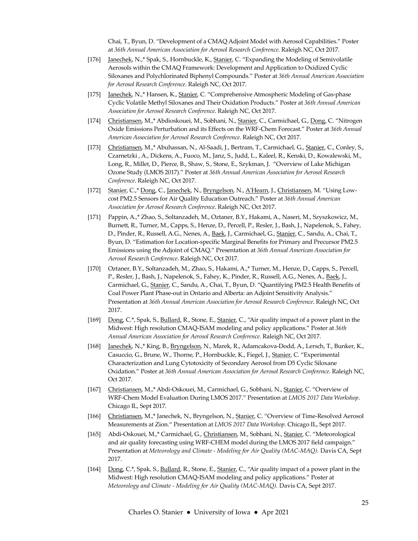Chai, T., Byun, D. "Development of a CMAQ Adjoint Model with Aerosol Capabilities." Poster at 36th Annual American Association for Aerosol Research Conference. Raleigh NC, Oct 2017.

- [176] Janechek, N.,\* Spak, S., Hornbuckle, K., Stanier, C. "Expanding the Modeling of Semivolatile Aerosols within the CMAQ Framework: Development and Application to Oxidized Cyclic Siloxanes and Polychlorinated Biphenyl Compounds." Poster at 36th Annual American Association for Aerosol Research Conference. Raleigh NC, Oct 2017.
- [175] Janechek, N.,\* Hansen, K., Stanier, C. "Comprehensive Atmospheric Modeling of Gas-phase Cyclic Volatile Methyl Siloxanes and Their Oxidation Products." Poster at 36th Annual American Association for Aerosol Research Conference. Raleigh NC, Oct 2017.
- [174] Christiansen, M.,\* Abdioskouei, M., Sobhani, N., Stanier, C., Carmichael, G., Dong, C. "Nitrogen Oxide Emissions Perturbation and its Effects on the WRF-Chem Forecast." Poster at 36th Annual American Association for Aerosol Research Conference. Raleigh NC, Oct 2017.
- [173] Christiansen, M.,\* Abuhassan, N., Al-Saadi, J., Bertram, T., Carmichael, G., Stanier, C., Conley, S., Czarnetzki , A., Dickens, A., Fuoco, M., Janz, S., Judd, L., Kaleel, R., Kenski, D., Kowalewski, M., Long, R., Millet, D., Pierce, B., Shaw, S., Stone, E., Szykman, J. "Overview of Lake Michigan Ozone Study (LMOS 2017)." Poster at 36th Annual American Association for Aerosol Research Conference. Raleigh NC, Oct 2017.
- [172] Stanier, C.,\* Dong, C., Janechek, N., Bryngelson, N., A'Hearn, J., Christiansen, M. "Using Lowcost PM2.5 Sensors for Air Quality Education Outreach." Poster at 36th Annual American Association for Aerosol Research Conference. Raleigh NC, Oct 2017.
- [171] Pappin, A.,\* Zhao, S., Soltanzadeh, M., Oztaner, B.Y., Hakami, A., Naseri, M., Szyszkowicz, M., Burnett, R., Turner, M., Capps, S., Henze, D., Percell, P., Resler, J., Bash, J., Napelenok, S., Fahey, D., Pinder, R., Russell, A.G., Nenes, A., Baek, J., Carmichael, G., Stanier, C., Sandu, A., Chai, T., Byun, D. "Estimation for Location-specific Marginal Benefits for Primary and Precursor PM2.5 Emissions using the Adjoint of CMAQ." Presentation at 36th Annual American Association for Aerosol Research Conference. Raleigh NC, Oct 2017.
- [170] Oztaner, B.Y., Soltanzadeh, M., Zhao, S., Hakami, A.,\* Turner, M., Henze, D., Capps, S., Percell, P., Resler, J., Bash, J., Napelenok, S., Fahey, K., Pinder, R., Russell, A.G., Nenes, A., Baek, J., Carmichael, G., Stanier, C., Sandu, A., Chai, T., Byun, D. "Quantifying PM2.5 Health Benefits of Coal Power Plant Phase-out in Ontario and Alberta: an Adjoint Sensitivity Analysis." Presentation at 36th Annual American Association for Aerosol Research Conference. Raleigh NC, Oct 2017.
- [169] Dong, C.\*, Spak, S., Bullard, R., Stone, E., Stanier, C., "Air quality impact of a power plant in the Midwest: High resolution CMAQ-ISAM modeling and policy applications." Poster at 36th Annual American Association for Aerosol Research Conference. Raleigh NC, Oct 2017.
- [168] Janechek, N.,\* King, B., Bryngelson, N., Marek, R., Adamcakova-Dodd, A., Lersch, T., Bunker, K., Casuccio, G., Brune, W., Thorne, P., Hornbuckle, K., Fiegel, J., Stanier, C. "Experimental Characterization and Lung Cytotoxicity of Secondary Aerosol from D5 Cyclic Siloxane Oxidation." Poster at 36th Annual American Association for Aerosol Research Conference. Raleigh NC, Oct 2017.
- [167] Christiansen, M.,\* Abdi-Oskouei, M., Carmichael, G., Sobhani, N., Stanier, C. "Overview of WRF-Chem Model Evaluation During LMOS 2017." Presentation at LMOS 2017 Data Workshop. Chicago IL, Sept 2017.
- [166] Christiansen, M.,\* Janechek, N., Bryngelson, N., Stanier, C. "Overview of Time-Resolved Aerosol Measurements at Zion." Presentation at LMOS 2017 Data Workshop. Chicago IL, Sept 2017.
- [165] Abdi-Oskouei, M.,\* Carmichael, G., Christiansen, M., Sobhani, N., Stanier, C. "Meteorological and air quality forecasting using WRF-CHEM model during the LMOS 2017 field campaign." Presentation at Meteorology and Climate - Modeling for Air Quality (MAC-MAQ). Davis CA, Sept 2017.
- [164] Dong, C.\*, Spak, S., Bullard, R., Stone, E., Stanier, C., "Air quality impact of a power plant in the Midwest: High resolution CMAQ-ISAM modeling and policy applications." Poster at Meteorology and Climate - Modeling for Air Quality (MAC-MAQ). Davis CA, Sept 2017.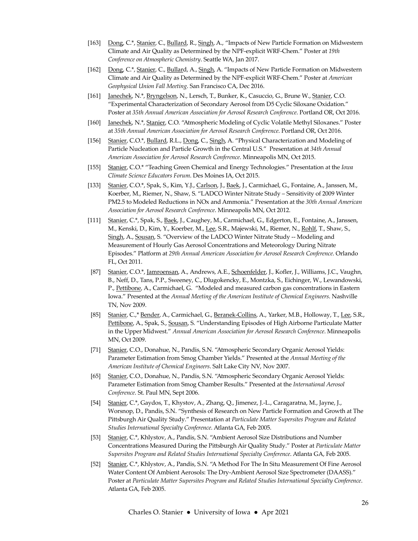- [163] Dong, C.\*, Stanier, C., Bullard, R., Singh, A., "Impacts of New Particle Formation on Midwestern Climate and Air Quality as Determined by the NPF-explicit WRF-Chem." Poster at 19th Conference on Atmospheric Chemistry. Seattle WA, Jan 2017.
- [162] Dong, C.\*, Stanier, C., Bullard, A., Singh, A. "Impacts of New Particle Formation on Midwestern Climate and Air Quality as Determined by the NPF-explicit WRF-Chem." Poster at American Geophysical Union Fall Meeting. San Francisco CA, Dec 2016.
- [161] Janechek, N.\*, Bryngelson, N., Lersch, T., Bunker, K., Casuccio, G., Brune W., Stanier, C.O. "Experimental Characterization of Secondary Aerosol from D5 Cyclic Siloxane Oxidation." Poster at 35th Annual American Association for Aerosol Research Conference. Portland OR, Oct 2016.
- [160] Janechek, N.\*, Stanier, C.O. "Atmospheric Modeling of Cyclic Volatile Methyl Siloxanes." Poster at 35th Annual American Association for Aerosol Research Conference. Portland OR, Oct 2016.
- [156] Stanier, C.O.\*, Bullard, R.L., Dong, C., Singh, A. "Physical Characterization and Modeling of Particle Nucleation and Particle Growth in the Central U.S." Presentation at 34th Annual American Association for Aerosol Research Conference. Minneapolis MN, Oct 2015.
- [155] Stanier, C.O.\* "Teaching Green Chemical and Energy Technologies." Presentation at the Iowa Climate Science Educators Forum. Des Moines IA, Oct 2015.
- [133] Stanier, C.O.\*, Spak, S., Kim, Y.J., Carlson, J., Baek, J., Carmichael, G., Fontaine, A., Janssen, M., Koerber, M., Riemer, N., Shaw, S. "LADCO Winter Nitrate Study – Sensitivity of 2009 Winter PM2.5 to Modeled Reductions in NOx and Ammonia." Presentation at the 30th Annual American Association for Aerosol Research Conference. Minneapolis MN, Oct 2012.
- [111] Stanier, C.\*, Spak, S., Baek, J., Caughey, M., Carmichael, G., Edgerton, E., Fontaine, A., Janssen, M., Kenski, D., Kim, Y., Koerber, M., Lee, S.R., Majewski, M., Riemer, N., Rohlf, T., Shaw, S., Singh, A., Sousan, S. "Overview of the LADCO Winter Nitrate Study -- Modeling and Measurement of Hourly Gas Aerosol Concentrations and Meteorology During Nitrate Episodes." Platform at 29th Annual American Association for Aerosol Research Conference. Orlando FL, Oct 2011.
- [87] Stanier, C.O.\*, Jamroensan, A., Andrews, A.E., Schoenfelder, J., Kofler, J., Williams, J.C., Vaughn, B., Neff, D., Tans, P.P., Sweeney, C., Dlugokencky, E., Montzka, S., Eichinger, W., Lewandowski, P., Pettibone, A., Carmichael, G. "Modeled and measured carbon gas concentrations in Eastern Iowa." Presented at the Annual Meeting of the American Institute of Chemical Engineers. Nashville TN, Nov 2009.
- [85] Stanier, C.,\* Bender, A., Carmichael, G., Beranek-Collins, A., Yarker, M.B., Holloway, T., Lee, S.R., Pettibone, A., Spak, S., Sousan, S. "Understanding Episodes of High Airborne Particulate Matter in the Upper Midwest." Annual American Association for Aerosol Research Conference. Minneapolis MN, Oct 2009.
- [71] Stanier, C.O., Donahue, N., Pandis, S.N. "Atmospheric Secondary Organic Aerosol Yields: Parameter Estimation from Smog Chamber Yields." Presented at the Annual Meeting of the American Institute of Chemical Engineers. Salt Lake City NV, Nov 2007.
- [65] Stanier, C.O., Donahue, N., Pandis, S.N. "Atmospheric Secondary Organic Aerosol Yields: Parameter Estimation from Smog Chamber Results." Presented at the International Aerosol Conference. St. Paul MN, Sept 2006.
- [54] Stanier, C.\*, Gaydos, T., Khystov, A., Zhang, Q., Jimenez, J.-L., Caragaratna, M., Jayne, J., Worsnop, D., Pandis, S.N. "Synthesis of Research on New Particle Formation and Growth at The Pittsburgh Air Quality Study." Presentation at Particulate Matter Supersites Program and Related Studies International Specialty Conference. Atlanta GA, Feb 2005.
- [53] Stanier, C.\*, Khlystov, A., Pandis, S.N. "Ambient Aerosol Size Distributions and Number Concentrations Measured During the Pittsburgh Air Quality Study." Poster at Particulate Matter Supersites Program and Related Studies International Specialty Conference. Atlanta GA, Feb 2005.
- [52] Stanier, C.\*, Khlystov, A., Pandis, S.N. "A Method For The In Situ Measurement Of Fine Aerosol Water Content Of Ambient Aerosols: The Dry-Ambient Aerosol Size Spectrometer (DAASS)." Poster at Particulate Matter Supersites Program and Related Studies International Specialty Conference. Atlanta GA, Feb 2005.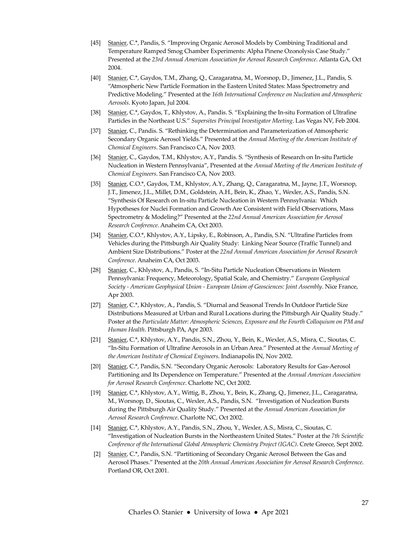- [45] Stanier, C.\*, Pandis, S. "Improving Organic Aerosol Models by Combining Traditional and Temperature Ramped Smog Chamber Experiments: Alpha Pinene Ozonolysis Case Study." Presented at the 23rd Annual American Association for Aerosol Research Conference. Atlanta GA, Oct 2004.
- [40] Stanier, C.\*, Gaydos, T.M., Zhang, Q., Caragaratna, M., Worsnop, D., Jimenez, J.L., Pandis, S. "Atmospheric New Particle Formation in the Eastern United States: Mass Spectrometry and Predictive Modeling." Presented at the 16th International Conference on Nucleation and Atmospheric Aerosols. Kyoto Japan, Jul 2004.
- [38] Stanier, C.\*, Gaydos, T., Khlystov, A., Pandis. S. "Explaining the In-situ Formation of Ultrafine Particles in the Northeast U.S." Supersites Principal Investigator Meeting. Las Vegas NV, Feb 2004.
- [37] Stanier, C., Pandis. S. "Rethinking the Determination and Parameterization of Atmospheric Secondary Organic Aerosol Yields." Presented at the Annual Meeting of the American Institute of Chemical Engineers. San Francisco CA, Nov 2003.
- [36] Stanier, C., Gaydos, T.M., Khlystov, A.Y., Pandis. S. "Synthesis of Research on In-situ Particle Nucleation in Western Pennsylvania", Presented at the Annual Meeting of the American Institute of Chemical Engineers. San Francisco CA, Nov 2003.
- [35] Stanier, C.O.\*, Gaydos, T.M., Khlystov, A.Y., Zhang, Q., Caragaratna, M., Jayne, J.T., Worsnop, J.T., Jimenez, J.L., Millet, D.M., Goldstein, A.H., Bein, K., Zhao, Y., Wexler, A.S., Pandis, S.N. "Synthesis Of Research on In-situ Particle Nucleation in Western Pennsylvania: Which Hypotheses for Nuclei Formation and Growth Are Consistent with Field Observations, Mass Spectrometry & Modeling?" Presented at the 22nd Annual American Association for Aerosol Research Conference. Anaheim CA, Oct 2003.
- [34] Stanier, C.O.\*, Khlystov, A.Y., Lipsky, E., Robinson, A., Pandis, S.N. "Ultrafine Particles from Vehicles during the Pittsburgh Air Quality Study: Linking Near Source (Traffic Tunnel) and Ambient Size Distributions." Poster at the 22nd Annual American Association for Aerosol Research Conference. Anaheim CA, Oct 2003.
- [28] Stanier, C., Khlystov, A., Pandis, S. "In-Situ Particle Nucleation Observations in Western Pennsylvania: Frequency, Meteorology, Spatial Scale, and Chemistry." European Geophysical Society - American Geophysical Union - European Union of Geosciences: Joint Assembly. Nice France, Apr 2003.
- [27] Stanier, C.\*, Khlystov, A., Pandis, S. "Diurnal and Seasonal Trends In Outdoor Particle Size Distributions Measured at Urban and Rural Locations during the Pittsburgh Air Quality Study." Poster at the Particulate Matter: Atmospheric Sciences, Exposure and the Fourth Colloquium on PM and Human Health. Pittsburgh PA, Apr 2003.
- [21] Stanier, C.\*, Khlystov, A.Y., Pandis, S.N., Zhou, Y., Bein, K., Wexler, A.S., Misra, C., Sioutas, C. "In-Situ Formation of Ultrafine Aerosols in an Urban Area." Presented at the Annual Meeting of the American Institute of Chemical Engineers. Indianapolis IN, Nov 2002.
- [20] Stanier, C.\*, Pandis, S.N. "Secondary Organic Aerosols: Laboratory Results for Gas-Aerosol Partitioning and Its Dependence on Temperature." Presented at the Annual American Association for Aerosol Research Conference. Charlotte NC, Oct 2002.
- [19] Stanier, C.\*, Khlystov, A.Y., Wittig, B., Zhou, Y., Bein, K., Zhang, Q., Jimenez, J.L., Caragaratna, M., Worsnop, D., Sioutas, C., Wexler, A.S., Pandis, S.N. "Investigation of Nucleation Bursts during the Pittsburgh Air Quality Study." Presented at the Annual American Association for Aerosol Research Conference. Charlotte NC, Oct 2002.
- [14] Stanier, C.\*, Khlystov, A.Y., Pandis, S.N., Zhou, Y., Wexler, A.S., Misra, C., Sioutas, C. "Investigation of Nucleation Bursts in the Northeastern United States." Poster at the 7th Scientific Conference of the International Global Atmospheric Chemistry Project (IGAC). Crete Greece, Sept 2002.
- [2] Stanier, C.\*, Pandis, S.N. "Partitioning of Secondary Organic Aerosol Between the Gas and Aerosol Phases." Presented at the 20th Annual American Association for Aerosol Research Conference. Portland OR, Oct 2001.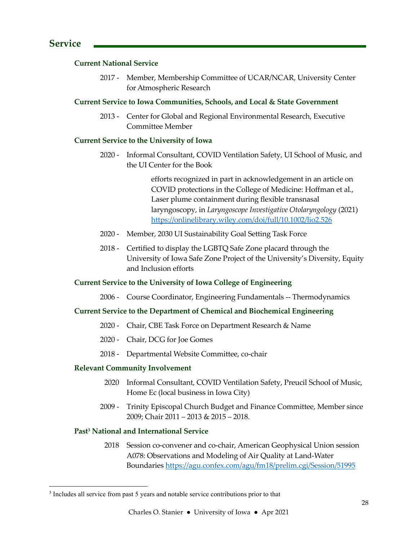## Current National Service

2017 - Member, Membership Committee of UCAR/NCAR, University Center for Atmospheric Research

## Current Service to Iowa Communities, Schools, and Local & State Government

2013 - Center for Global and Regional Environmental Research, Executive Committee Member

## Current Service to the University of Iowa

2020 - Informal Consultant, COVID Ventilation Safety, UI School of Music, and the UI Center for the Book

> efforts recognized in part in acknowledgement in an article on COVID protections in the College of Medicine: Hoffman et al., Laser plume containment during flexible transnasal laryngoscopy, in Laryngoscope Investigative Otolaryngology (2021) https://onlinelibrary.wiley.com/doi/full/10.1002/lio2.526

- 2020 Member, 2030 UI Sustainability Goal Setting Task Force
- 2018 Certified to display the LGBTQ Safe Zone placard through the University of Iowa Safe Zone Project of the University's Diversity, Equity and Inclusion efforts

## Current Service to the University of Iowa College of Engineering

2006 - Course Coordinator, Engineering Fundamentals -- Thermodynamics

## Current Service to the Department of Chemical and Biochemical Engineering

- 2020 Chair, CBE Task Force on Department Research & Name
- 2020 Chair, DCG for Joe Gomes
- 2018 Departmental Website Committee, co-chair

## Relevant Community Involvement

- 2020 Informal Consultant, COVID Ventilation Safety, Preucil School of Music, Home Ec (local business in Iowa City)
- 2009 Trinity Episcopal Church Budget and Finance Committee, Member since 2009; Chair 2011 – 2013 & 2015 – 2018.

## Past<sup>3</sup> National and International Service

2018 Session co-convener and co-chair, American Geophysical Union session A078: Observations and Modeling of Air Quality at Land-Water Boundaries https://agu.confex.com/agu/fm18/prelim.cgi/Session/51995

<sup>&</sup>lt;sup>3</sup> Includes all service from past 5 years and notable service contributions prior to that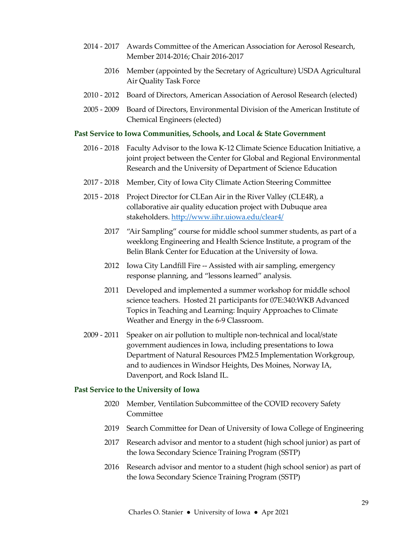- 2014 2017 Awards Committee of the American Association for Aerosol Research, Member 2014-2016; Chair 2016-2017
	- 2016 Member (appointed by the Secretary of Agriculture) USDA Agricultural Air Quality Task Force
- 2010 2012 Board of Directors, American Association of Aerosol Research (elected)
- 2005 2009 Board of Directors, Environmental Division of the American Institute of Chemical Engineers (elected)

#### Past Service to Iowa Communities, Schools, and Local & State Government

- 2016 2018 Faculty Advisor to the Iowa K-12 Climate Science Education Initiative, a joint project between the Center for Global and Regional Environmental Research and the University of Department of Science Education
- 2017 2018 Member, City of Iowa City Climate Action Steering Committee
- 2015 2018 Project Director for CLEan Air in the River Valley (CLE4R), a collaborative air quality education project with Dubuque area stakeholders. http://www.iihr.uiowa.edu/clear4/
	- 2017 "Air Sampling" course for middle school summer students, as part of a weeklong Engineering and Health Science Institute, a program of the Belin Blank Center for Education at the University of Iowa.
	- 2012 Iowa City Landfill Fire -- Assisted with air sampling, emergency response planning, and "lessons learned" analysis.
	- 2011 Developed and implemented a summer workshop for middle school science teachers. Hosted 21 participants for 07E:340:WKB Advanced Topics in Teaching and Learning: Inquiry Approaches to Climate Weather and Energy in the 6-9 Classroom.
- 2009 2011 Speaker on air pollution to multiple non-technical and local/state government audiences in Iowa, including presentations to Iowa Department of Natural Resources PM2.5 Implementation Workgroup, and to audiences in Windsor Heights, Des Moines, Norway IA, Davenport, and Rock Island IL.

#### Past Service to the University of Iowa

- 2020 Member, Ventilation Subcommittee of the COVID recovery Safety Committee
- 2019 Search Committee for Dean of University of Iowa College of Engineering
- 2017 Research advisor and mentor to a student (high school junior) as part of the Iowa Secondary Science Training Program (SSTP)
- 2016 Research advisor and mentor to a student (high school senior) as part of the Iowa Secondary Science Training Program (SSTP)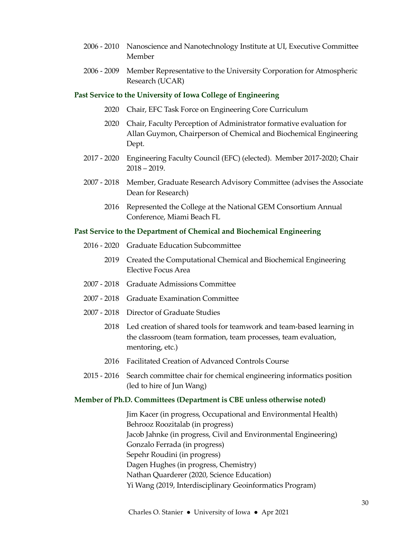- 2006 2010 Nanoscience and Nanotechnology Institute at UI, Executive Committee Member
- 2006 2009 Member Representative to the University Corporation for Atmospheric Research (UCAR)

#### Past Service to the University of Iowa College of Engineering

- 2020 Chair, EFC Task Force on Engineering Core Curriculum
- 2020 Chair, Faculty Perception of Administrator formative evaluation for Allan Guymon, Chairperson of Chemical and Biochemical Engineering Dept.
- 2017 2020 Engineering Faculty Council (EFC) (elected). Member 2017-2020; Chair 2018 – 2019.
- 2007 2018 Member, Graduate Research Advisory Committee (advises the Associate Dean for Research)
	- 2016 Represented the College at the National GEM Consortium Annual Conference, Miami Beach FL

#### Past Service to the Department of Chemical and Biochemical Engineering

- 2016 2020 Graduate Education Subcommittee
	- 2019 Created the Computational Chemical and Biochemical Engineering Elective Focus Area
- 2007 2018 Graduate Admissions Committee
- 2007 2018 Graduate Examination Committee
- 2007 2018 Director of Graduate Studies
	- 2018 Led creation of shared tools for teamwork and team-based learning in the classroom (team formation, team processes, team evaluation, mentoring, etc.)
	- 2016 Facilitated Creation of Advanced Controls Course
- 2015 2016 Search committee chair for chemical engineering informatics position (led to hire of Jun Wang)

#### Member of Ph.D. Committees (Department is CBE unless otherwise noted)

 Jim Kacer (in progress, Occupational and Environmental Health) Behrooz Roozitalab (in progress) Jacob Jahnke (in progress, Civil and Environmental Engineering) Gonzalo Ferrada (in progress) Sepehr Roudini (in progress) Dagen Hughes (in progress, Chemistry) Nathan Quarderer (2020, Science Education) Yi Wang (2019, Interdisciplinary Geoinformatics Program)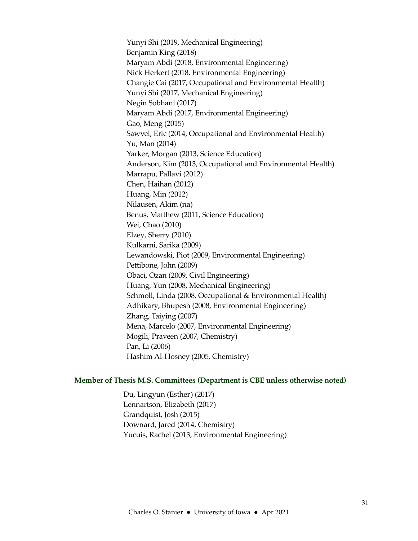Yunyi Shi (2019, Mechanical Engineering) Benjamin King (2018) Maryam Abdi (2018, Environmental Engineering) Nick Herkert (2018, Environmental Engineering) Changie Cai (2017, Occupational and Environmental Health) Yunyi Shi (2017, Mechanical Engineering) Negin Sobhani (2017) Maryam Abdi (2017, Environmental Engineering) Gao, Meng (2015) Sawvel, Eric (2014, Occupational and Environmental Health) Yu, Man (2014) Yarker, Morgan (2013, Science Education) Anderson, Kim (2013, Occupational and Environmental Health) Marrapu, Pallavi (2012) Chen, Haihan (2012) Huang, Min (2012) Nilausen, Akim (na) Benus, Matthew (2011, Science Education) Wei, Chao (2010) Elzey, Sherry (2010) Kulkarni, Sarika (2009) Lewandowski, Piot (2009, Environmental Engineering) Pettibone, John (2009) Obaci, Ozan (2009, Civil Engineering) Huang, Yun (2008, Mechanical Engineering) Schmoll, Linda (2008, Occupational & Environmental Health) Adhikary, Bhupesh (2008, Environmental Engineering) Zhang, Taiying (2007) Mena, Marcelo (2007, Environmental Engineering) Mogili, Praveen (2007, Chemistry) Pan, Li (2006) Hashim Al-Hosney (2005, Chemistry)

#### Member of Thesis M.S. Committees (Department is CBE unless otherwise noted)

Du, Lingyun (Esther) (2017) Lennartson, Elizabeth (2017) Grandquist, Josh (2015) Downard, Jared (2014, Chemistry) Yucuis, Rachel (2013, Environmental Engineering)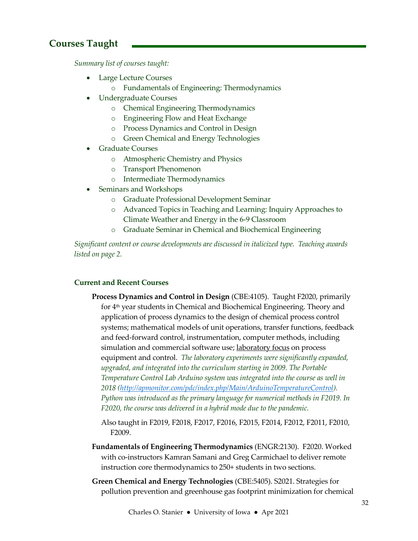## Courses Taught

Summary list of courses taught:

- Large Lecture Courses
	- o Fundamentals of Engineering: Thermodynamics
- Undergraduate Courses
	- o Chemical Engineering Thermodynamics
	- o Engineering Flow and Heat Exchange
	- o Process Dynamics and Control in Design
	- o Green Chemical and Energy Technologies
- Graduate Courses
	- o Atmospheric Chemistry and Physics
	- o Transport Phenomenon
	- o Intermediate Thermodynamics
- Seminars and Workshops
	- o Graduate Professional Development Seminar
	- o Advanced Topics in Teaching and Learning: Inquiry Approaches to Climate Weather and Energy in the 6-9 Classroom
	- o Graduate Seminar in Chemical and Biochemical Engineering

Significant content or course developments are discussed in italicized type. Teaching awards listed on page 2.

## Current and Recent Courses

- Process Dynamics and Control in Design (CBE:4105). Taught F2020, primarily for 4<sup>th</sup> year students in Chemical and Biochemical Engineering. Theory and application of process dynamics to the design of chemical process control systems; mathematical models of unit operations, transfer functions, feedback and feed-forward control, instrumentation, computer methods, including simulation and commercial software use; laboratory focus on process equipment and control. The laboratory experiments were significantly expanded, upgraded, and integrated into the curriculum starting in 2009. The Portable Temperature Control Lab Arduino system was integrated into the course as well in 2018 (http://apmonitor.com/pdc/index.php/Main/ArduinoTemperatureControl). Python was introduced as the primary language for numerical methods in F2019. In F2020, the course was delivered in a hybrid mode due to the pandemic.
	- Also taught in F2019, F2018, F2017, F2016, F2015, F2014, F2012, F2011, F2010, F2009.
- Fundamentals of Engineering Thermodynamics (ENGR:2130). F2020. Worked with co-instructors Kamran Samani and Greg Carmichael to deliver remote instruction core thermodynamics to 250+ students in two sections.
- Green Chemical and Energy Technologies (CBE:5405). S2021. Strategies for pollution prevention and greenhouse gas footprint minimization for chemical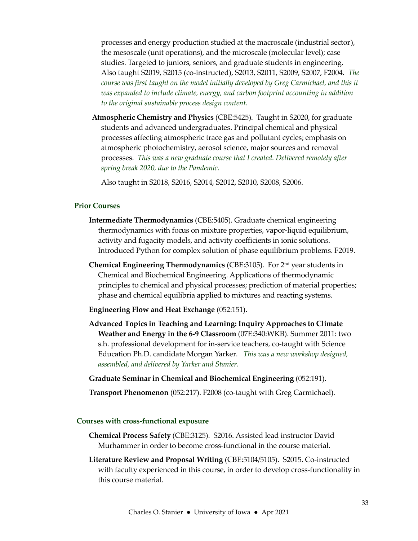processes and energy production studied at the macroscale (industrial sector), the mesoscale (unit operations), and the microscale (molecular level); case studies. Targeted to juniors, seniors, and graduate students in engineering. Also taught S2019, S2015 (co-instructed), S2013, S2011, S2009, S2007, F2004. The course was first taught on the model initially developed by Greg Carmichael, and this it was expanded to include climate, energy, and carbon footprint accounting in addition to the original sustainable process design content.

Atmospheric Chemistry and Physics (CBE:5425). Taught in S2020, for graduate students and advanced undergraduates. Principal chemical and physical processes affecting atmospheric trace gas and pollutant cycles; emphasis on atmospheric photochemistry, aerosol science, major sources and removal processes. This was a new graduate course that I created. Delivered remotely after spring break 2020, due to the Pandemic.

Also taught in S2018, S2016, S2014, S2012, S2010, S2008, S2006.

#### Prior Courses

- Intermediate Thermodynamics (CBE:5405). Graduate chemical engineering thermodynamics with focus on mixture properties, vapor-liquid equilibrium, activity and fugacity models, and activity coefficients in ionic solutions. Introduced Python for complex solution of phase equilibrium problems. F2019.
- Chemical Engineering Thermodynamics (CBE:3105). For 2nd year students in Chemical and Biochemical Engineering. Applications of thermodynamic principles to chemical and physical processes; prediction of material properties; phase and chemical equilibria applied to mixtures and reacting systems.
- Engineering Flow and Heat Exchange (052:151).
- Advanced Topics in Teaching and Learning: Inquiry Approaches to Climate Weather and Energy in the 6-9 Classroom (07E:340:WKB). Summer 2011: two s.h. professional development for in-service teachers, co-taught with Science Education Ph.D. candidate Morgan Yarker. This was a new workshop designed, assembled, and delivered by Yarker and Stanier.

Graduate Seminar in Chemical and Biochemical Engineering (052:191).

Transport Phenomenon (052:217). F2008 (co-taught with Greg Carmichael).

#### Courses with cross-functional exposure

- Chemical Process Safety (CBE:3125). S2016. Assisted lead instructor David Murhammer in order to become cross-functional in the course material.
- Literature Review and Proposal Writing (CBE:5104/5105). S2015. Co-instructed with faculty experienced in this course, in order to develop cross-functionality in this course material.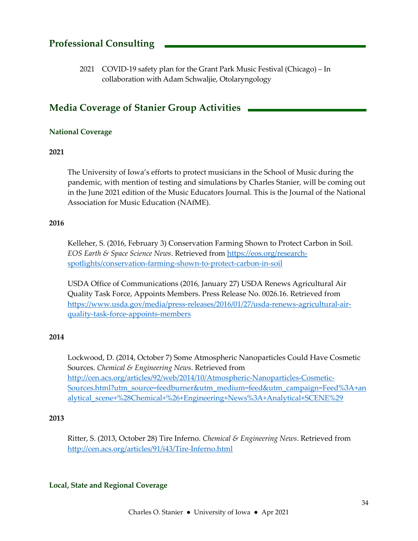## Professional Consulting

2021 COVID-19 safety plan for the Grant Park Music Festival (Chicago) – In collaboration with Adam Schwaljie, Otolaryngology

## Media Coverage of Stanier Group Activities

## National Coverage

## 2021

The University of Iowa's efforts to protect musicians in the School of Music during the pandemic, with mention of testing and simulations by Charles Stanier, will be coming out in the June 2021 edition of the Music Educators Journal. This is the Journal of the National Association for Music Education (NAfME).

## 2016

Kelleher, S. (2016, February 3) Conservation Farming Shown to Protect Carbon in Soil. EOS Earth & Space Science News. Retrieved from https://eos.org/researchspotlights/conservation-farming-shown-to-protect-carbon-in-soil

USDA Office of Communications (2016, January 27) USDA Renews Agricultural Air Quality Task Force, Appoints Members. Press Release No. 0026.16. Retrieved from https://www.usda.gov/media/press-releases/2016/01/27/usda-renews-agricultural-airquality-task-force-appoints-members

## 2014

Lockwood, D. (2014, October 7) Some Atmospheric Nanoparticles Could Have Cosmetic Sources. Chemical & Engineering News. Retrieved from http://cen.acs.org/articles/92/web/2014/10/Atmospheric-Nanoparticles-Cosmetic-Sources.html?utm\_source=feedburner&utm\_medium=feed&utm\_campaign=Feed%3A+an alytical\_scene+%28Chemical+%26+Engineering+News%3A+Analytical+SCENE%29

#### 2013

Ritter, S. (2013, October 28) Tire Inferno. Chemical & Engineering News. Retrieved from http://cen.acs.org/articles/91/i43/Tire-Inferno.html

#### Local, State and Regional Coverage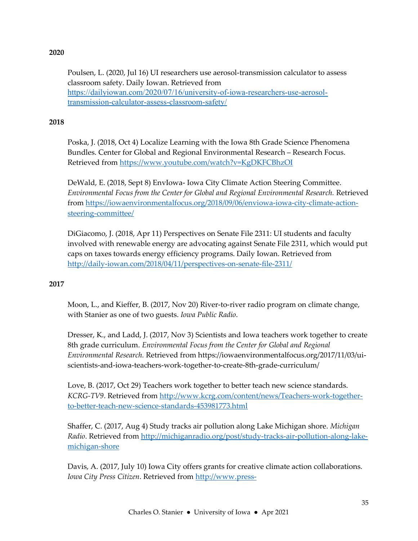## 2020

Poulsen, L. (2020, Jul 16) UI researchers use aerosol-transmission calculator to assess classroom safety. Daily Iowan. Retrieved from https://dailyiowan.com/2020/07/16/university-of-iowa-researchers-use-aerosoltransmission-calculator-assess-classroom-safety/

## 2018

Poska, J. (2018, Oct 4) Localize Learning with the Iowa 8th Grade Science Phenomena Bundles. Center for Global and Regional Environmental Research – Research Focus. Retrieved from https://www.youtube.com/watch?v=KgDKFCBhzOI

DeWald, E. (2018, Sept 8) EnvIowa- Iowa City Climate Action Steering Committee. Environmental Focus from the Center for Global and Regional Environmental Research. Retrieved from https://iowaenvironmentalfocus.org/2018/09/06/enviowa-iowa-city-climate-actionsteering-committee/

DiGiacomo, J. (2018, Apr 11) Perspectives on Senate File 2311: UI students and faculty involved with renewable energy are advocating against Senate File 2311, which would put caps on taxes towards energy efficiency programs. Daily Iowan. Retrieved from http://daily-iowan.com/2018/04/11/perspectives-on-senate-file-2311/

## 2017

Moon, L., and Kieffer, B. (2017, Nov 20) River-to-river radio program on climate change, with Stanier as one of two guests. Iowa Public Radio.

Dresser, K., and Ladd, J. (2017, Nov 3) Scientists and Iowa teachers work together to create 8th grade curriculum. Environmental Focus from the Center for Global and Regional Environmental Research. Retrieved from https://iowaenvironmentalfocus.org/2017/11/03/uiscientists-and-iowa-teachers-work-together-to-create-8th-grade-curriculum/

Love, B. (2017, Oct 29) Teachers work together to better teach new science standards. KCRG-TV9. Retrieved from http://www.kcrg.com/content/news/Teachers-work-togetherto-better-teach-new-science-standards-453981773.html

Shaffer, C. (2017, Aug 4) Study tracks air pollution along Lake Michigan shore. Michigan Radio. Retrieved from http://michiganradio.org/post/study-tracks-air-pollution-along-lakemichigan-shore

Davis, A. (2017, July 10) Iowa City offers grants for creative climate action collaborations. Iowa City Press Citizen. Retrieved from http://www.press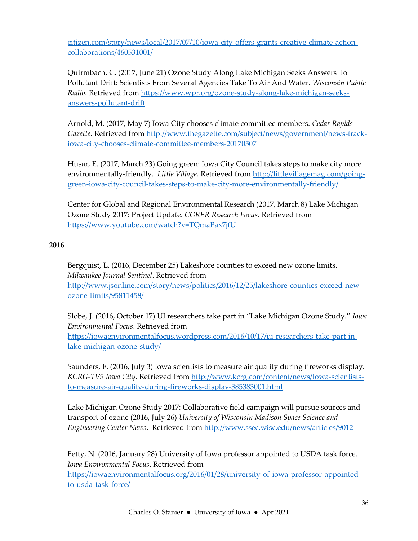citizen.com/story/news/local/2017/07/10/iowa-city-offers-grants-creative-climate-actioncollaborations/460531001/

Quirmbach, C. (2017, June 21) Ozone Study Along Lake Michigan Seeks Answers To Pollutant Drift: Scientists From Several Agencies Take To Air And Water. Wisconsin Public Radio. Retrieved from https://www.wpr.org/ozone-study-along-lake-michigan-seeksanswers-pollutant-drift

Arnold, M. (2017, May 7) Iowa City chooses climate committee members. Cedar Rapids Gazette. Retrieved from http://www.thegazette.com/subject/news/government/news-trackiowa-city-chooses-climate-committee-members-20170507

Husar, E. (2017, March 23) Going green: Iowa City Council takes steps to make city more environmentally-friendly. Little Village. Retrieved from http://littlevillagemag.com/goinggreen-iowa-city-council-takes-steps-to-make-city-more-environmentally-friendly/

Center for Global and Regional Environmental Research (2017, March 8) Lake Michigan Ozone Study 2017: Project Update. CGRER Research Focus. Retrieved from https://www.youtube.com/watch?v=TQmaPax7jfU

## 2016

Bergquist, L. (2016, December 25) Lakeshore counties to exceed new ozone limits. Milwaukee Journal Sentinel. Retrieved from http://www.jsonline.com/story/news/politics/2016/12/25/lakeshore-counties-exceed-newozone-limits/95811458/

Slobe, J. (2016, October 17) UI researchers take part in "Lake Michigan Ozone Study." Iowa Environmental Focus. Retrieved from https://iowaenvironmentalfocus.wordpress.com/2016/10/17/ui-researchers-take-part-inlake-michigan-ozone-study/

Saunders, F. (2016, July 3) Iowa scientists to measure air quality during fireworks display. KCRG-TV9 Iowa City. Retrieved from http://www.kcrg.com/content/news/Iowa-scientiststo-measure-air-quality-during-fireworks-display-385383001.html

Lake Michigan Ozone Study 2017: Collaborative field campaign will pursue sources and transport of ozone (2016, July 26) University of Wisconsin Madison Space Science and Engineering Center News. Retrieved from http://www.ssec.wisc.edu/news/articles/9012

Fetty, N. (2016, January 28) University of Iowa professor appointed to USDA task force. Iowa Environmental Focus. Retrieved from https://iowaenvironmentalfocus.org/2016/01/28/university-of-iowa-professor-appointedto-usda-task-force/